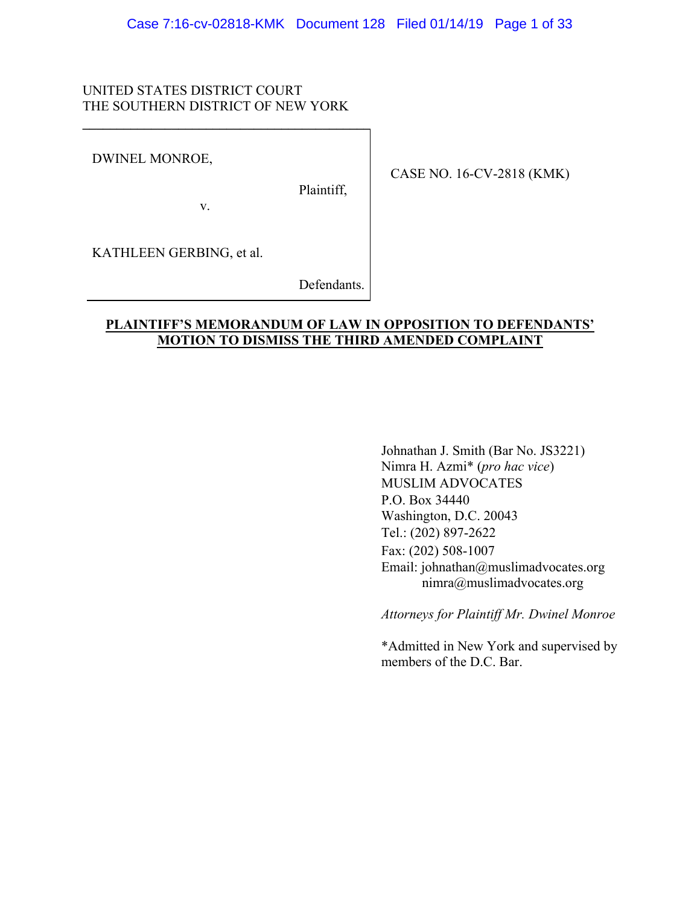# UNITED STATES DISTRICT COURT THE SOUTHERN DISTRICT OF NEW YORK

v.

 $\mathcal{L} = \{ \mathcal{L} \}$ 

### DWINEL MONROE,

Plaintiff,

CASE NO. 16-CV-2818 (KMK)

KATHLEEN GERBING, et al.

Defendants.

# **PLAINTIFF'S MEMORANDUM OF LAW IN OPPOSITION TO DEFENDANTS' MOTION TO DISMISS THE THIRD AMENDED COMPLAINT**

Johnathan J. Smith (Bar No. JS3221) Nimra H. Azmi\* (*pro hac vice*) MUSLIM ADVOCATES P.O. Box 34440 Washington, D.C. 20043 Tel.: (202) 897-2622 Fax: (202) 508-1007 Email: johnathan@muslimadvocates.org nimra@muslimadvocates.org

*Attorneys for Plaintiff Mr. Dwinel Monroe*

\*Admitted in New York and supervised by members of the D.C. Bar.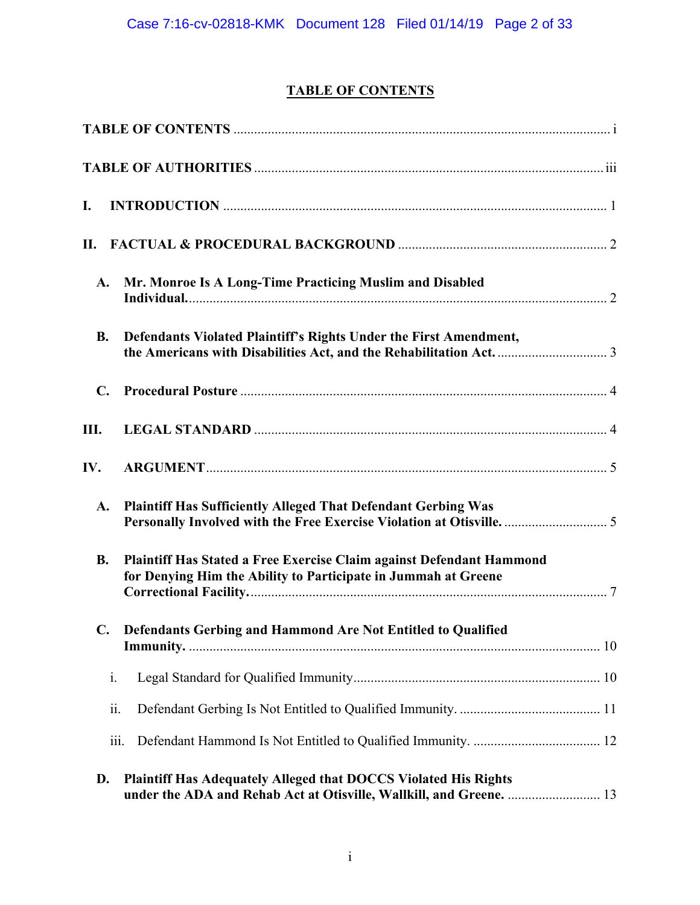# **TABLE OF CONTENTS**

| I.             |                                                                                                                                               |  |
|----------------|-----------------------------------------------------------------------------------------------------------------------------------------------|--|
| П.             |                                                                                                                                               |  |
| $\mathbf{A}$ . | Mr. Monroe Is A Long-Time Practicing Muslim and Disabled                                                                                      |  |
| <b>B.</b>      | Defendants Violated Plaintiff's Rights Under the First Amendment,                                                                             |  |
| $\mathbf{C}$ . |                                                                                                                                               |  |
| Ш.             |                                                                                                                                               |  |
| IV.            |                                                                                                                                               |  |
| A.             | <b>Plaintiff Has Sufficiently Alleged That Defendant Gerbing Was</b><br>Personally Involved with the Free Exercise Violation at Otisville.  5 |  |
| <b>B.</b>      | Plaintiff Has Stated a Free Exercise Claim against Defendant Hammond<br>for Denying Him the Ability to Participate in Jummah at Greene        |  |
| $\mathbf{C}$ . | Defendants Gerbing and Hammond Are Not Entitled to Qualified                                                                                  |  |
| i.             |                                                                                                                                               |  |
| ii.            |                                                                                                                                               |  |
|                | iii.                                                                                                                                          |  |
| D.             | <b>Plaintiff Has Adequately Alleged that DOCCS Violated His Rights</b><br>under the ADA and Rehab Act at Otisville, Wallkill, and Greene.  13 |  |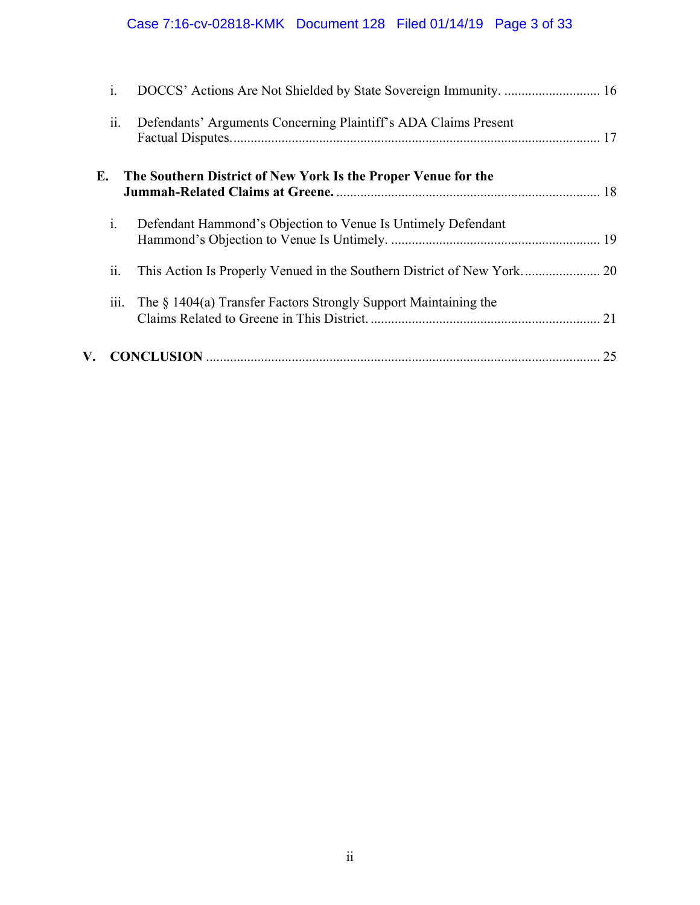# Case 7:16-cv-02818-KMK Document 128 Filed 01/14/19 Page 3 of 33

|    | $i$ .          |                                                                 |    |
|----|----------------|-----------------------------------------------------------------|----|
|    | ii.            | Defendants' Arguments Concerning Plaintiff's ADA Claims Present |    |
| Е. |                | The Southern District of New York Is the Proper Venue for the   |    |
|    | $\mathbf{i}$ . | Defendant Hammond's Objection to Venue Is Untimely Defendant    |    |
|    | ii.            |                                                                 |    |
|    | iii.           | The § 1404(a) Transfer Factors Strongly Support Maintaining the |    |
| V. |                |                                                                 | 25 |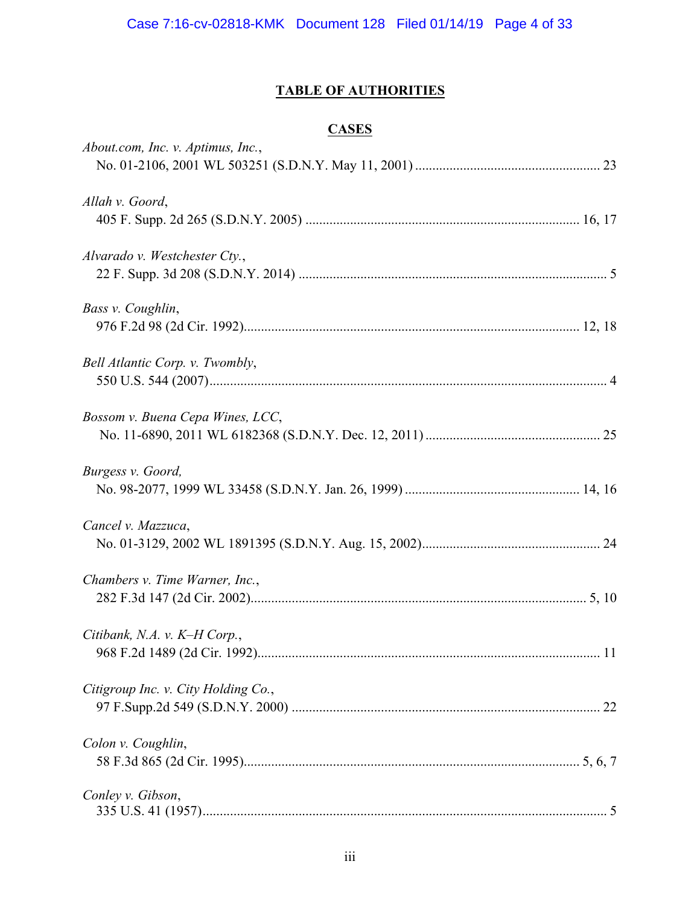# **TABLE OF AUTHORITIES**

# **CASES**

| About.com, Inc. v. Aptimus, Inc.,   |    |
|-------------------------------------|----|
| Allah v. Goord,                     |    |
| Alvarado v. Westchester Cty.,       |    |
| Bass v. Coughlin,                   |    |
| Bell Atlantic Corp. v. Twombly,     |    |
| Bossom v. Buena Cepa Wines, LCC,    |    |
| Burgess v. Goord,                   |    |
| Cancel v. Mazzuca,                  |    |
| Chambers v. Time Warner, Inc.,      |    |
| Citibank, N.A. v. K-H Corp.,        | 11 |
| Citigroup Inc. v. City Holding Co., |    |
| Colon v. Coughlin,                  |    |
| Conley v. Gibson,                   |    |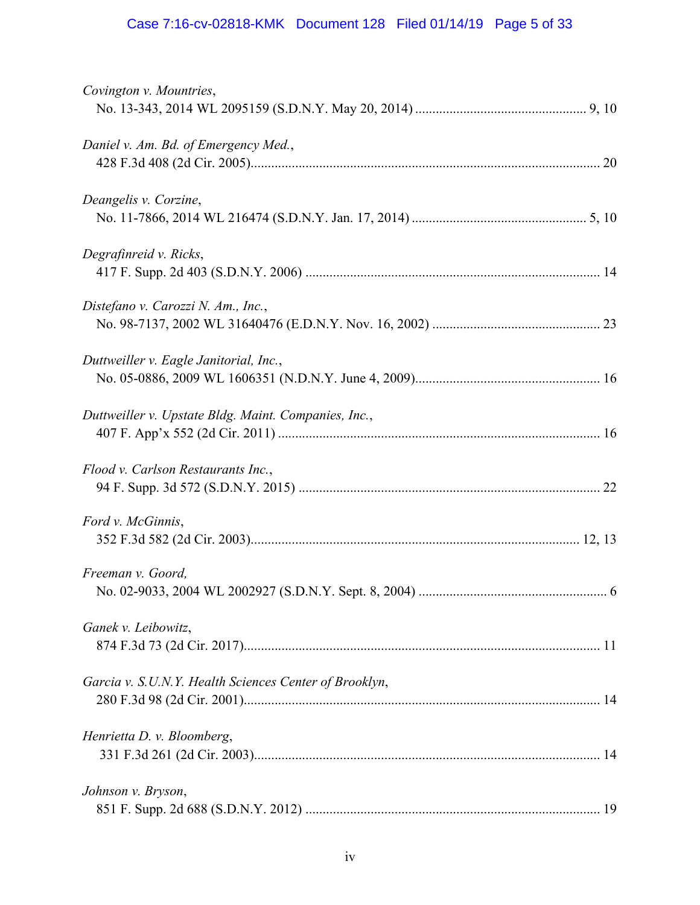# Case 7:16-cv-02818-KMK Document 128 Filed 01/14/19 Page 5 of 33

| Covington v. Mountries,                                |  |
|--------------------------------------------------------|--|
| Daniel v. Am. Bd. of Emergency Med.,                   |  |
| Deangelis v. Corzine,                                  |  |
| Degrafinreid v. Ricks,                                 |  |
| Distefano v. Carozzi N. Am., Inc.,                     |  |
| Duttweiller v. Eagle Janitorial, Inc.,                 |  |
| Duttweiller v. Upstate Bldg. Maint. Companies, Inc.,   |  |
| Flood v. Carlson Restaurants Inc.,                     |  |
| Ford v. McGinnis,                                      |  |
| Freeman v. Goord,                                      |  |
| Ganek v. Leibowitz,                                    |  |
| Garcia v. S.U.N.Y. Health Sciences Center of Brooklyn, |  |
| Henrietta D. v. Bloomberg,                             |  |
| Johnson v. Bryson,                                     |  |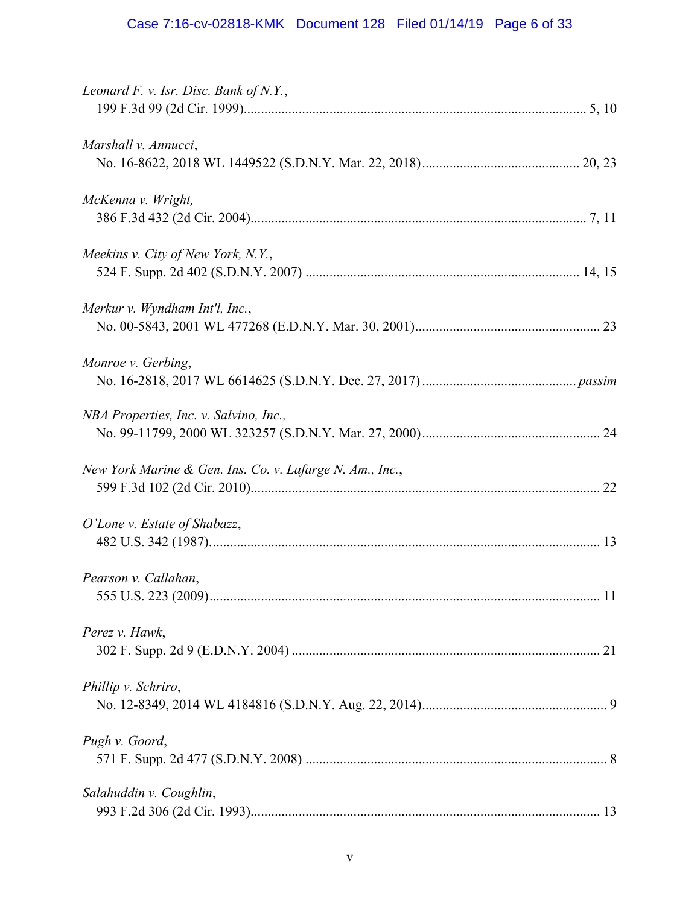# Case 7:16-cv-02818-KMK Document 128 Filed 01/14/19 Page 6 of 33

| Leonard F. v. Isr. Disc. Bank of N.Y.,                   |  |
|----------------------------------------------------------|--|
| Marshall v. Annucci,                                     |  |
| McKenna v. Wright,                                       |  |
| Meekins v. City of New York, N.Y.,                       |  |
| Merkur v. Wyndham Int'l, Inc.,                           |  |
| Monroe v. Gerbing,                                       |  |
| NBA Properties, Inc. v. Salvino, Inc.,                   |  |
| New York Marine & Gen. Ins. Co. v. Lafarge N. Am., Inc., |  |
| O'Lone v. Estate of Shabazz,                             |  |
| Pearson v. Callahan,                                     |  |
| Perez v. Hawk,                                           |  |
| Phillip v. Schriro,                                      |  |
| Pugh v. Goord,                                           |  |
| Salahuddin v. Coughlin,                                  |  |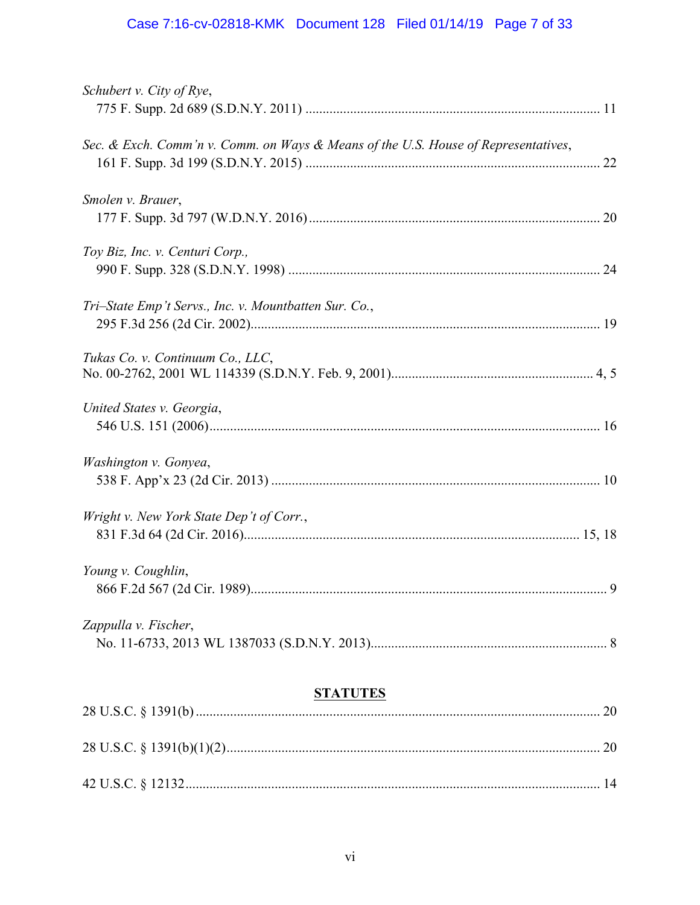# Case 7:16-cv-02818-KMK Document 128 Filed 01/14/19 Page 7 of 33

| Schubert v. City of Rye,                                                           |   |
|------------------------------------------------------------------------------------|---|
|                                                                                    |   |
| Sec. & Exch. Comm'n v. Comm. on Ways & Means of the U.S. House of Representatives, |   |
| Smolen v. Brauer,                                                                  |   |
| Toy Biz, Inc. v. Centuri Corp.,                                                    |   |
| Tri-State Emp't Servs., Inc. v. Mountbatten Sur. Co.,                              |   |
| Tukas Co. v. Continuum Co., LLC,                                                   |   |
| United States v. Georgia,                                                          |   |
| Washington v. Gonyea,                                                              |   |
| Wright v. New York State Dep't of Corr.,                                           |   |
| Young v. Coughlin,<br>866 F.2d 567 (2d Cir. 1989)                                  | 9 |
| Zappulla v. Fischer,                                                               |   |
| <b>STATUTES</b>                                                                    |   |
|                                                                                    |   |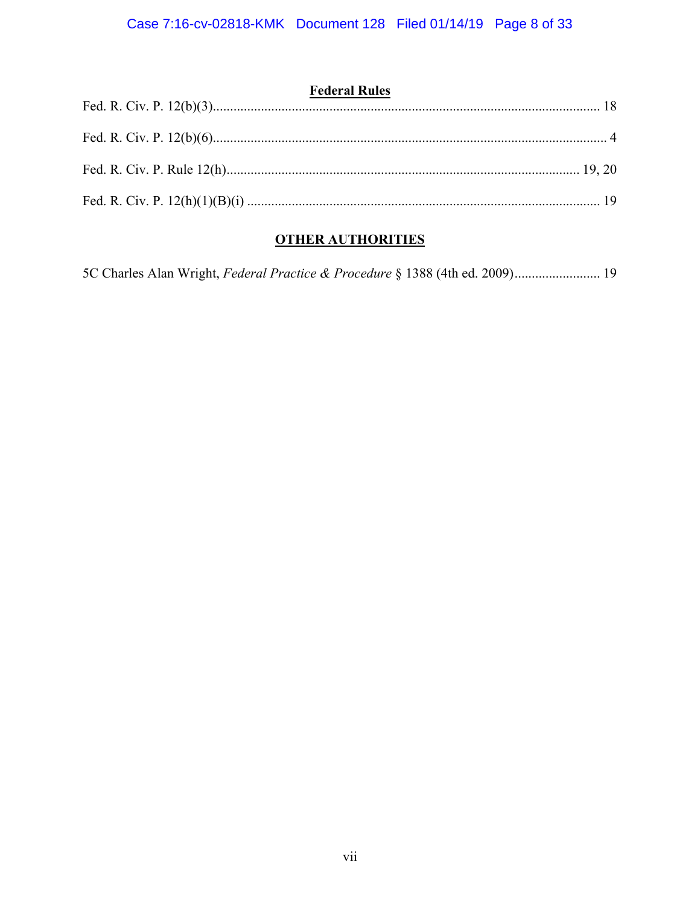| <b>Federal Rules</b> |  |
|----------------------|--|
|                      |  |
|                      |  |
|                      |  |

# **OTHER AUTHORITIES**

| 5C Charles Alan Wright, Federal Practice & Procedure § 1388 (4th ed. 2009) 19 |  |
|-------------------------------------------------------------------------------|--|
|                                                                               |  |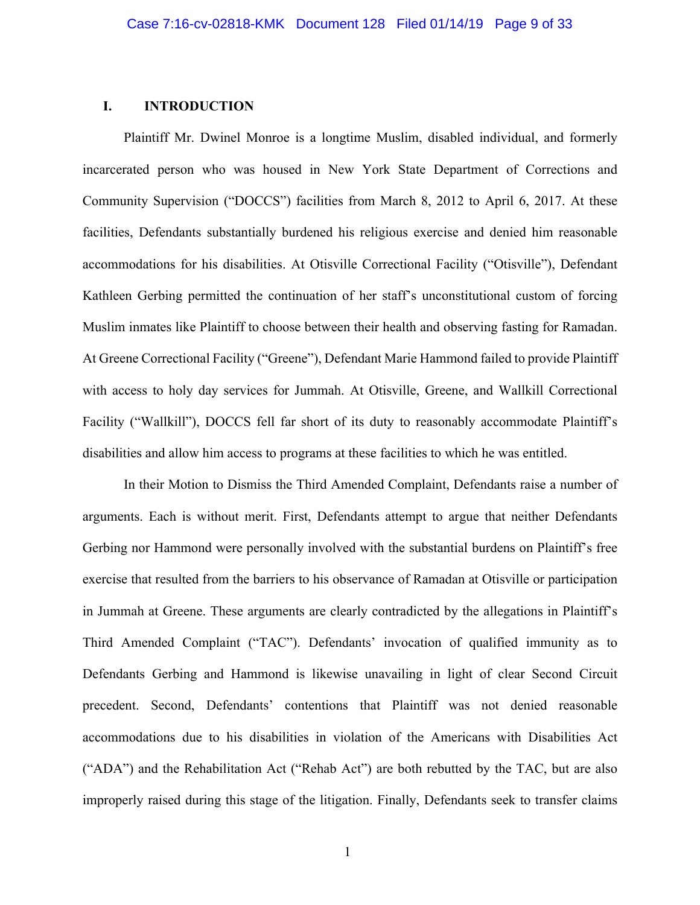#### **I. INTRODUCTION**

Plaintiff Mr. Dwinel Monroe is a longtime Muslim, disabled individual, and formerly incarcerated person who was housed in New York State Department of Corrections and Community Supervision ("DOCCS") facilities from March 8, 2012 to April 6, 2017. At these facilities, Defendants substantially burdened his religious exercise and denied him reasonable accommodations for his disabilities. At Otisville Correctional Facility ("Otisville"), Defendant Kathleen Gerbing permitted the continuation of her staff's unconstitutional custom of forcing Muslim inmates like Plaintiff to choose between their health and observing fasting for Ramadan. At Greene Correctional Facility ("Greene"), Defendant Marie Hammond failed to provide Plaintiff with access to holy day services for Jummah. At Otisville, Greene, and Wallkill Correctional Facility ("Wallkill"), DOCCS fell far short of its duty to reasonably accommodate Plaintiff's disabilities and allow him access to programs at these facilities to which he was entitled.

In their Motion to Dismiss the Third Amended Complaint, Defendants raise a number of arguments. Each is without merit. First, Defendants attempt to argue that neither Defendants Gerbing nor Hammond were personally involved with the substantial burdens on Plaintiff's free exercise that resulted from the barriers to his observance of Ramadan at Otisville or participation in Jummah at Greene. These arguments are clearly contradicted by the allegations in Plaintiff's Third Amended Complaint ("TAC"). Defendants' invocation of qualified immunity as to Defendants Gerbing and Hammond is likewise unavailing in light of clear Second Circuit precedent. Second, Defendants' contentions that Plaintiff was not denied reasonable accommodations due to his disabilities in violation of the Americans with Disabilities Act ("ADA") and the Rehabilitation Act ("Rehab Act") are both rebutted by the TAC, but are also improperly raised during this stage of the litigation. Finally, Defendants seek to transfer claims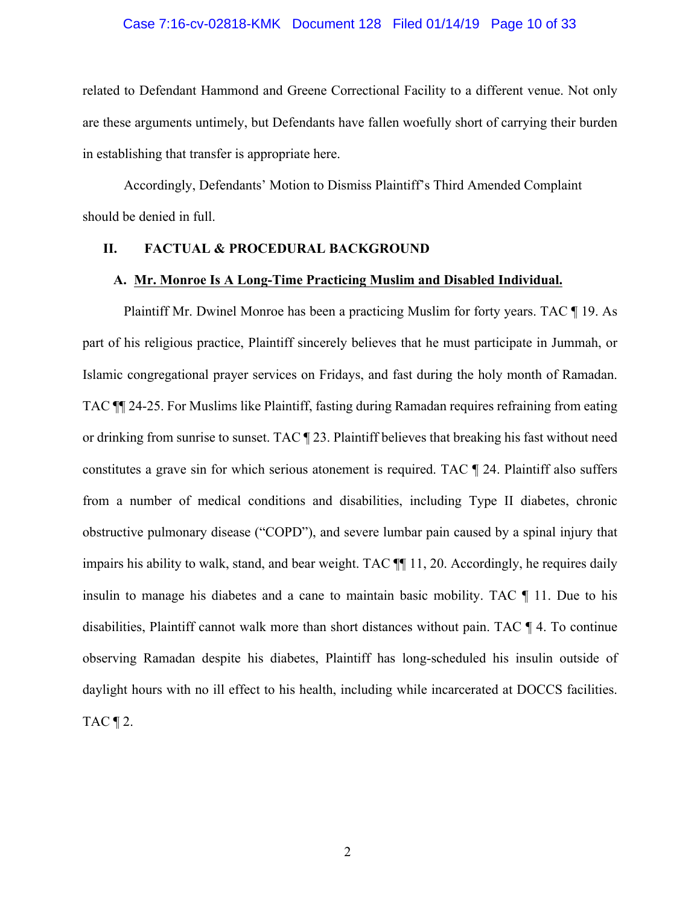#### Case 7:16-cv-02818-KMK Document 128 Filed 01/14/19 Page 10 of 33

related to Defendant Hammond and Greene Correctional Facility to a different venue. Not only are these arguments untimely, but Defendants have fallen woefully short of carrying their burden in establishing that transfer is appropriate here.

Accordingly, Defendants' Motion to Dismiss Plaintiff's Third Amended Complaint should be denied in full.

# **II. FACTUAL & PROCEDURAL BACKGROUND**

#### **A. Mr. Monroe Is A Long-Time Practicing Muslim and Disabled Individual.**

Plaintiff Mr. Dwinel Monroe has been a practicing Muslim for forty years. TAC ¶ 19. As part of his religious practice, Plaintiff sincerely believes that he must participate in Jummah, or Islamic congregational prayer services on Fridays, and fast during the holy month of Ramadan. TAC ¶¶ 24-25. For Muslims like Plaintiff, fasting during Ramadan requires refraining from eating or drinking from sunrise to sunset. TAC ¶ 23. Plaintiff believes that breaking his fast without need constitutes a grave sin for which serious atonement is required. TAC ¶ 24. Plaintiff also suffers from a number of medical conditions and disabilities, including Type II diabetes, chronic obstructive pulmonary disease ("COPD"), and severe lumbar pain caused by a spinal injury that impairs his ability to walk, stand, and bear weight. TAC ¶¶ 11, 20. Accordingly, he requires daily insulin to manage his diabetes and a cane to maintain basic mobility. TAC ¶ 11. Due to his disabilities, Plaintiff cannot walk more than short distances without pain. TAC ¶ 4. To continue observing Ramadan despite his diabetes, Plaintiff has long-scheduled his insulin outside of daylight hours with no ill effect to his health, including while incarcerated at DOCCS facilities. TAC  $\P$  2.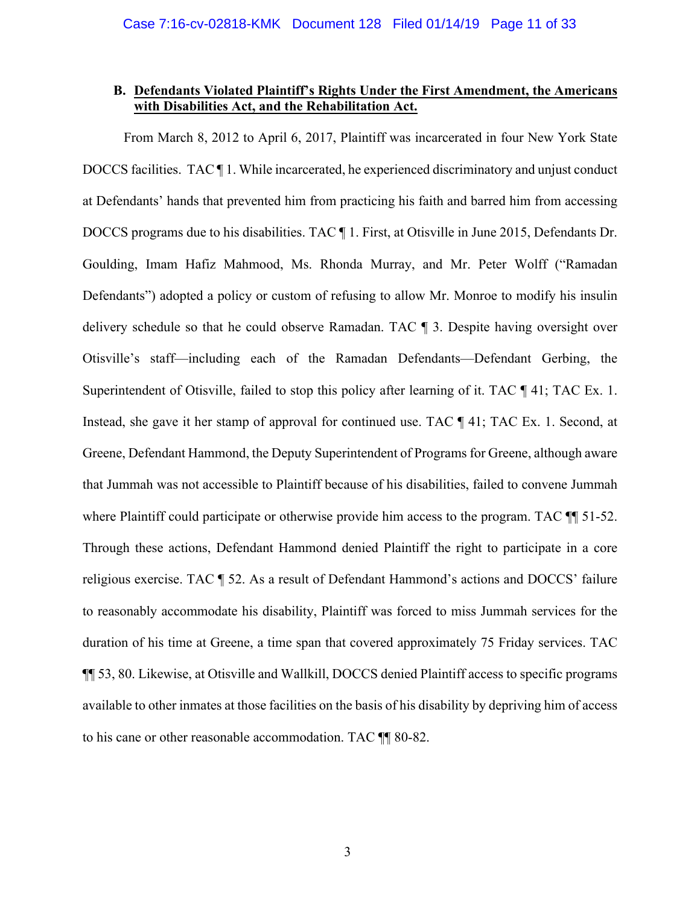## **B. Defendants Violated Plaintiff's Rights Under the First Amendment, the Americans with Disabilities Act, and the Rehabilitation Act.**

From March 8, 2012 to April 6, 2017, Plaintiff was incarcerated in four New York State DOCCS facilities. TAC  $\P$  1. While incarcerated, he experienced discriminatory and unjust conduct at Defendants' hands that prevented him from practicing his faith and barred him from accessing DOCCS programs due to his disabilities. TAC ¶ 1. First, at Otisville in June 2015, Defendants Dr. Goulding, Imam Hafiz Mahmood, Ms. Rhonda Murray, and Mr. Peter Wolff ("Ramadan Defendants") adopted a policy or custom of refusing to allow Mr. Monroe to modify his insulin delivery schedule so that he could observe Ramadan. TAC ¶ 3. Despite having oversight over Otisville's staff—including each of the Ramadan Defendants—Defendant Gerbing, the Superintendent of Otisville, failed to stop this policy after learning of it. TAC  $\P$  41; TAC Ex. 1. Instead, she gave it her stamp of approval for continued use. TAC ¶ 41; TAC Ex. 1. Second, at Greene, Defendant Hammond, the Deputy Superintendent of Programs for Greene, although aware that Jummah was not accessible to Plaintiff because of his disabilities, failed to convene Jummah where Plaintiff could participate or otherwise provide him access to the program. TAC  $\P$  51-52. Through these actions, Defendant Hammond denied Plaintiff the right to participate in a core religious exercise. TAC ¶ 52. As a result of Defendant Hammond's actions and DOCCS' failure to reasonably accommodate his disability, Plaintiff was forced to miss Jummah services for the duration of his time at Greene, a time span that covered approximately 75 Friday services. TAC ¶¶ 53, 80. Likewise, at Otisville and Wallkill, DOCCS denied Plaintiff access to specific programs available to other inmates at those facilities on the basis of his disability by depriving him of access to his cane or other reasonable accommodation. TAC ¶¶ 80-82.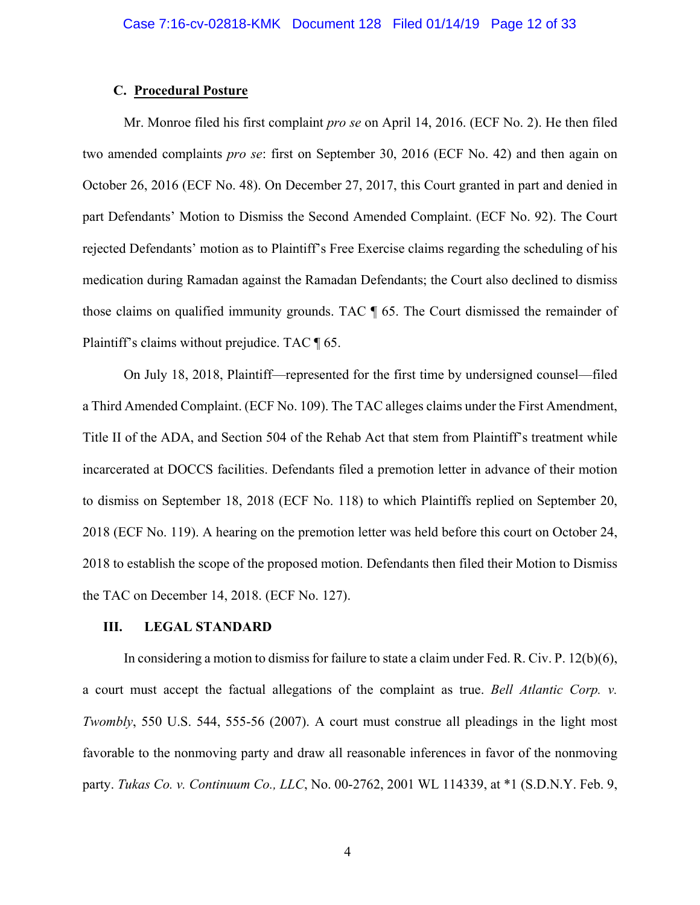### **C. Procedural Posture**

Mr. Monroe filed his first complaint *pro se* on April 14, 2016. (ECF No. 2). He then filed two amended complaints *pro se*: first on September 30, 2016 (ECF No. 42) and then again on October 26, 2016 (ECF No. 48). On December 27, 2017, this Court granted in part and denied in part Defendants' Motion to Dismiss the Second Amended Complaint. (ECF No. 92). The Court rejected Defendants' motion as to Plaintiff's Free Exercise claims regarding the scheduling of his medication during Ramadan against the Ramadan Defendants; the Court also declined to dismiss those claims on qualified immunity grounds. TAC ¶ 65. The Court dismissed the remainder of Plaintiff's claims without prejudice. TAC ¶ 65.

On July 18, 2018, Plaintiff—represented for the first time by undersigned counsel—filed a Third Amended Complaint. (ECF No. 109). The TAC alleges claims under the First Amendment, Title II of the ADA, and Section 504 of the Rehab Act that stem from Plaintiff's treatment while incarcerated at DOCCS facilities. Defendants filed a premotion letter in advance of their motion to dismiss on September 18, 2018 (ECF No. 118) to which Plaintiffs replied on September 20, 2018 (ECF No. 119). A hearing on the premotion letter was held before this court on October 24, 2018 to establish the scope of the proposed motion. Defendants then filed their Motion to Dismiss the TAC on December 14, 2018. (ECF No. 127).

#### **III. LEGAL STANDARD**

In considering a motion to dismiss for failure to state a claim under Fed. R. Civ. P. 12(b)(6), a court must accept the factual allegations of the complaint as true. *Bell Atlantic Corp. v. Twombly*, 550 U.S. 544, 555-56 (2007). A court must construe all pleadings in the light most favorable to the nonmoving party and draw all reasonable inferences in favor of the nonmoving party. *Tukas Co. v. Continuum Co., LLC*, No. 00-2762, 2001 WL 114339, at \*1 (S.D.N.Y. Feb. 9,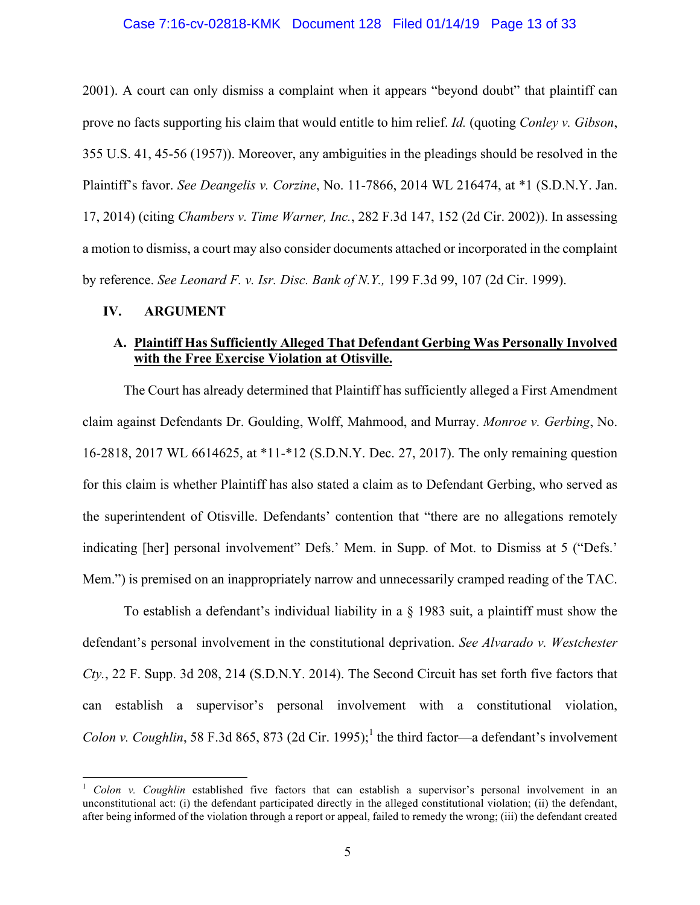#### Case 7:16-cv-02818-KMK Document 128 Filed 01/14/19 Page 13 of 33

2001). A court can only dismiss a complaint when it appears "beyond doubt" that plaintiff can prove no facts supporting his claim that would entitle to him relief. *Id.* (quoting *Conley v. Gibson*, 355 U.S. 41, 45-56 (1957)). Moreover, any ambiguities in the pleadings should be resolved in the Plaintiff's favor. *See Deangelis v. Corzine*, No. 11-7866, 2014 WL 216474, at \*1 (S.D.N.Y. Jan. 17, 2014) (citing *Chambers v. Time Warner, Inc.*, 282 F.3d 147, 152 (2d Cir. 2002)). In assessing a motion to dismiss, a court may also consider documents attached or incorporated in the complaint by reference. *See Leonard F. v. Isr. Disc. Bank of N.Y.,* 199 F.3d 99, 107 (2d Cir. 1999).

#### **IV. ARGUMENT**

# **A. Plaintiff Has Sufficiently Alleged That Defendant Gerbing Was Personally Involved with the Free Exercise Violation at Otisville.**

The Court has already determined that Plaintiff has sufficiently alleged a First Amendment claim against Defendants Dr. Goulding, Wolff, Mahmood, and Murray. *Monroe v. Gerbing*, No. 16-2818, 2017 WL 6614625, at \*11-\*12 (S.D.N.Y. Dec. 27, 2017). The only remaining question for this claim is whether Plaintiff has also stated a claim as to Defendant Gerbing, who served as the superintendent of Otisville. Defendants' contention that "there are no allegations remotely indicating [her] personal involvement" Defs.' Mem. in Supp. of Mot. to Dismiss at 5 ("Defs.' Mem.") is premised on an inappropriately narrow and unnecessarily cramped reading of the TAC.

To establish a defendant's individual liability in a § 1983 suit, a plaintiff must show the defendant's personal involvement in the constitutional deprivation. *See Alvarado v. Westchester Cty.*, 22 F. Supp. 3d 208, 214 (S.D.N.Y. 2014). The Second Circuit has set forth five factors that can establish a supervisor's personal involvement with a constitutional violation, *Colon v. Coughlin*, 58 F.3d 865, 873 (2d Cir. 1995);<sup>1</sup> the third factor—a defendant's involvement

 <sup>1</sup> *Colon v. Coughlin* established five factors that can establish a supervisor's personal involvement in an unconstitutional act: (i) the defendant participated directly in the alleged constitutional violation; (ii) the defendant, after being informed of the violation through a report or appeal, failed to remedy the wrong; (iii) the defendant created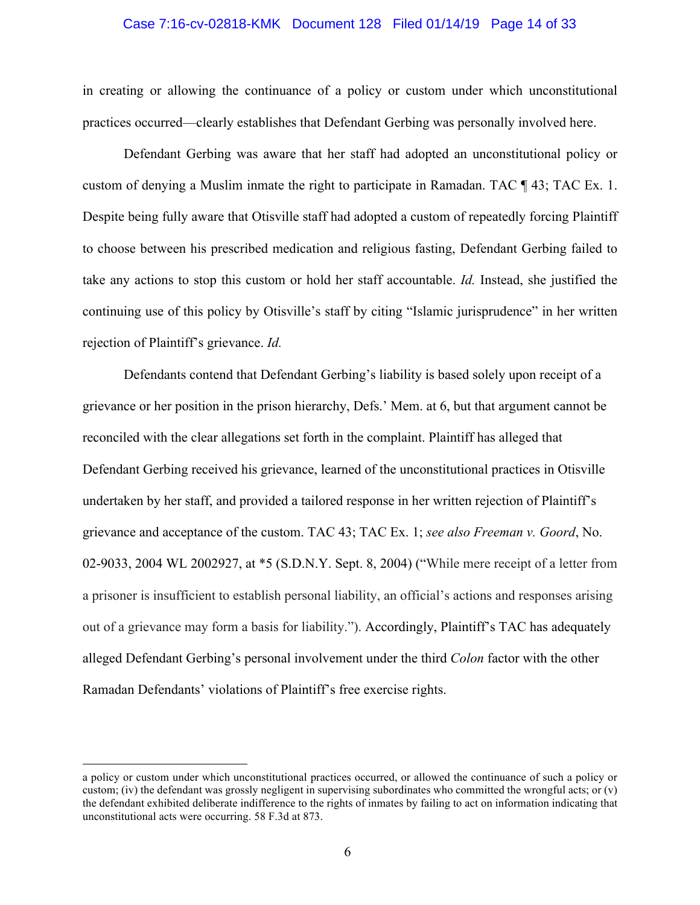#### Case 7:16-cv-02818-KMK Document 128 Filed 01/14/19 Page 14 of 33

in creating or allowing the continuance of a policy or custom under which unconstitutional practices occurred—clearly establishes that Defendant Gerbing was personally involved here.

Defendant Gerbing was aware that her staff had adopted an unconstitutional policy or custom of denying a Muslim inmate the right to participate in Ramadan. TAC ¶ 43; TAC Ex. 1. Despite being fully aware that Otisville staff had adopted a custom of repeatedly forcing Plaintiff to choose between his prescribed medication and religious fasting, Defendant Gerbing failed to take any actions to stop this custom or hold her staff accountable. *Id.* Instead, she justified the continuing use of this policy by Otisville's staff by citing "Islamic jurisprudence" in her written rejection of Plaintiff's grievance. *Id.*

Defendants contend that Defendant Gerbing's liability is based solely upon receipt of a grievance or her position in the prison hierarchy, Defs.' Mem. at 6, but that argument cannot be reconciled with the clear allegations set forth in the complaint. Plaintiff has alleged that Defendant Gerbing received his grievance, learned of the unconstitutional practices in Otisville undertaken by her staff, and provided a tailored response in her written rejection of Plaintiff's grievance and acceptance of the custom. TAC 43; TAC Ex. 1; *see also Freeman v. Goord*, No. 02-9033, 2004 WL 2002927, at \*5 (S.D.N.Y. Sept. 8, 2004) ("While mere receipt of a letter from a prisoner is insufficient to establish personal liability, an official's actions and responses arising out of a grievance may form a basis for liability."). Accordingly, Plaintiff's TAC has adequately alleged Defendant Gerbing's personal involvement under the third *Colon* factor with the other Ramadan Defendants' violations of Plaintiff's free exercise rights.

a policy or custom under which unconstitutional practices occurred, or allowed the continuance of such a policy or custom; (iv) the defendant was grossly negligent in supervising subordinates who committed the wrongful acts; or  $(v)$ the defendant exhibited deliberate indifference to the rights of inmates by failing to act on information indicating that unconstitutional acts were occurring. 58 F.3d at 873.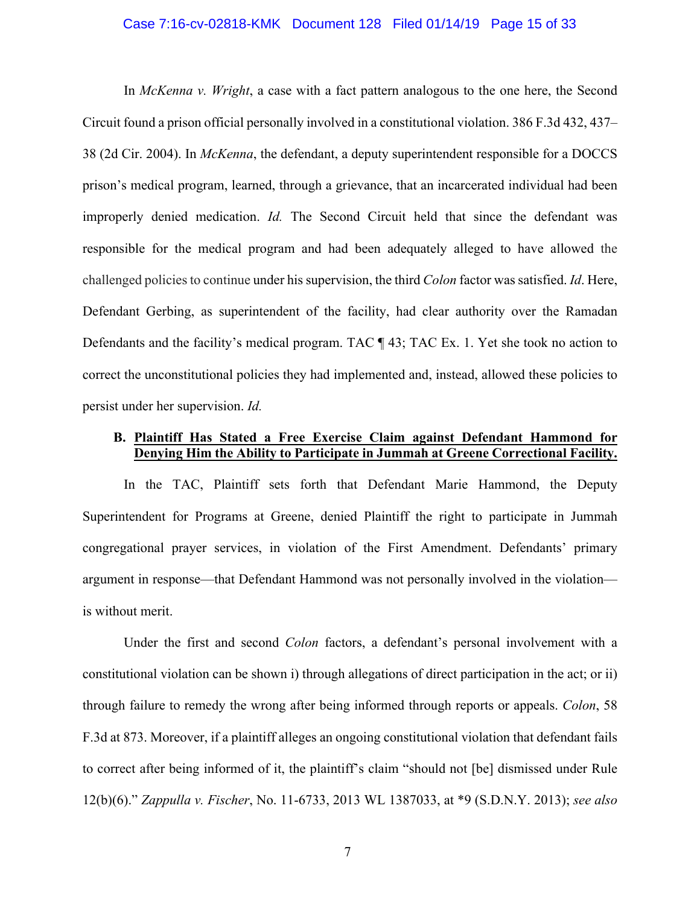#### Case 7:16-cv-02818-KMK Document 128 Filed 01/14/19 Page 15 of 33

In *McKenna v. Wright*, a case with a fact pattern analogous to the one here, the Second Circuit found a prison official personally involved in a constitutional violation. 386 F.3d 432, 437– 38 (2d Cir. 2004). In *McKenna*, the defendant, a deputy superintendent responsible for a DOCCS prison's medical program, learned, through a grievance, that an incarcerated individual had been improperly denied medication. *Id.* The Second Circuit held that since the defendant was responsible for the medical program and had been adequately alleged to have allowed the challenged policies to continue under his supervision, the third *Colon* factor was satisfied. *Id*. Here, Defendant Gerbing, as superintendent of the facility, had clear authority over the Ramadan Defendants and the facility's medical program. TAC ¶ 43; TAC Ex. 1. Yet she took no action to correct the unconstitutional policies they had implemented and, instead, allowed these policies to persist under her supervision. *Id.*

# **B. Plaintiff Has Stated a Free Exercise Claim against Defendant Hammond for Denying Him the Ability to Participate in Jummah at Greene Correctional Facility.**

In the TAC, Plaintiff sets forth that Defendant Marie Hammond, the Deputy Superintendent for Programs at Greene, denied Plaintiff the right to participate in Jummah congregational prayer services, in violation of the First Amendment. Defendants' primary argument in response—that Defendant Hammond was not personally involved in the violation is without merit.

Under the first and second *Colon* factors, a defendant's personal involvement with a constitutional violation can be shown i) through allegations of direct participation in the act; or ii) through failure to remedy the wrong after being informed through reports or appeals. *Colon*, 58 F.3d at 873. Moreover, if a plaintiff alleges an ongoing constitutional violation that defendant fails to correct after being informed of it, the plaintiff's claim "should not [be] dismissed under Rule 12(b)(6)." *Zappulla v. Fischer*, No. 11-6733, 2013 WL 1387033, at \*9 (S.D.N.Y. 2013); *see also*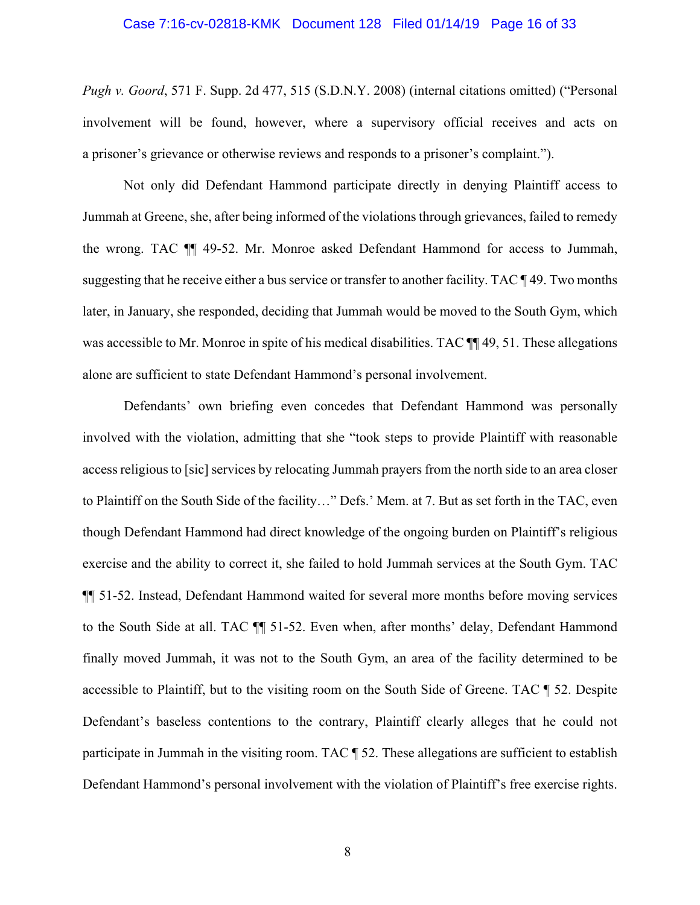#### Case 7:16-cv-02818-KMK Document 128 Filed 01/14/19 Page 16 of 33

*Pugh v. Goord*, 571 F. Supp. 2d 477, 515 (S.D.N.Y. 2008) (internal citations omitted) ("Personal involvement will be found, however, where a supervisory official receives and acts on a prisoner's grievance or otherwise reviews and responds to a prisoner's complaint.").

Not only did Defendant Hammond participate directly in denying Plaintiff access to Jummah at Greene, she, after being informed of the violations through grievances, failed to remedy the wrong. TAC ¶¶ 49-52. Mr. Monroe asked Defendant Hammond for access to Jummah, suggesting that he receive either a bus service or transfer to another facility. TAC ¶ 49. Two months later, in January, she responded, deciding that Jummah would be moved to the South Gym, which was accessible to Mr. Monroe in spite of his medical disabilities. TAC  $\P$  49, 51. These allegations alone are sufficient to state Defendant Hammond's personal involvement.

Defendants' own briefing even concedes that Defendant Hammond was personally involved with the violation, admitting that she "took steps to provide Plaintiff with reasonable access religious to [sic] services by relocating Jummah prayers from the north side to an area closer to Plaintiff on the South Side of the facility…" Defs.' Mem. at 7. But as set forth in the TAC, even though Defendant Hammond had direct knowledge of the ongoing burden on Plaintiff's religious exercise and the ability to correct it, she failed to hold Jummah services at the South Gym. TAC ¶¶ 51-52. Instead, Defendant Hammond waited for several more months before moving services to the South Side at all. TAC ¶¶ 51-52. Even when, after months' delay, Defendant Hammond finally moved Jummah, it was not to the South Gym, an area of the facility determined to be accessible to Plaintiff, but to the visiting room on the South Side of Greene. TAC ¶ 52. Despite Defendant's baseless contentions to the contrary, Plaintiff clearly alleges that he could not participate in Jummah in the visiting room. TAC  $\parallel$  52. These allegations are sufficient to establish Defendant Hammond's personal involvement with the violation of Plaintiff's free exercise rights.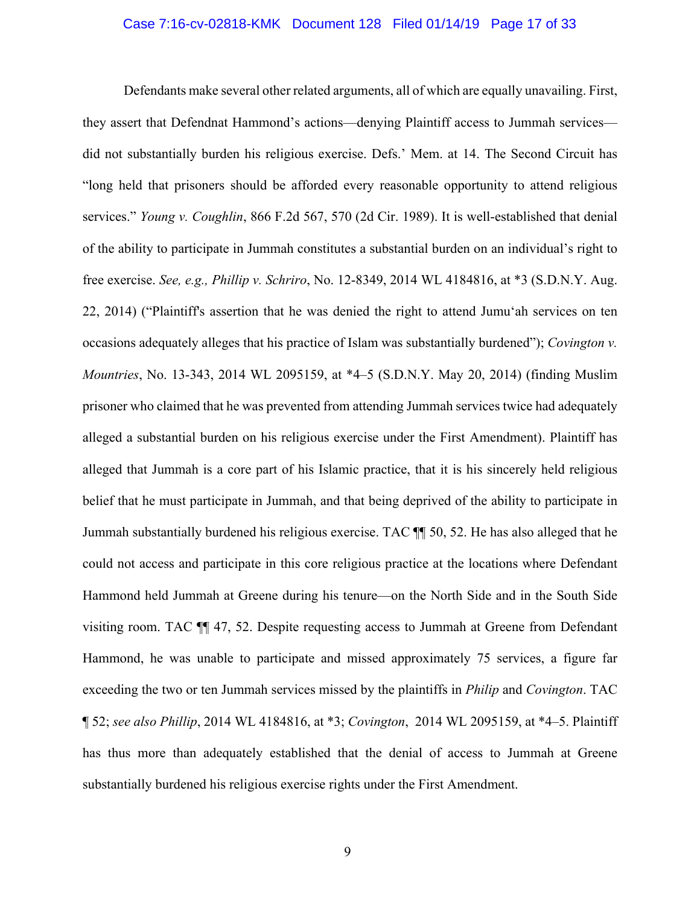#### Case 7:16-cv-02818-KMK Document 128 Filed 01/14/19 Page 17 of 33

Defendants make several other related arguments, all of which are equally unavailing. First, they assert that Defendnat Hammond's actions—denying Plaintiff access to Jummah services did not substantially burden his religious exercise. Defs.' Mem. at 14. The Second Circuit has "long held that prisoners should be afforded every reasonable opportunity to attend religious services." *Young v. Coughlin*, 866 F.2d 567, 570 (2d Cir. 1989). It is well-established that denial of the ability to participate in Jummah constitutes a substantial burden on an individual's right to free exercise. *See, e.g., Phillip v. Schriro*, No. 12-8349, 2014 WL 4184816, at \*3 (S.D.N.Y. Aug. 22, 2014) ("Plaintiff's assertion that he was denied the right to attend Jumu'ah services on ten occasions adequately alleges that his practice of Islam was substantially burdened"); *Covington v. Mountries*, No. 13-343, 2014 WL 2095159, at \*4–5 (S.D.N.Y. May 20, 2014) (finding Muslim prisoner who claimed that he was prevented from attending Jummah services twice had adequately alleged a substantial burden on his religious exercise under the First Amendment). Plaintiff has alleged that Jummah is a core part of his Islamic practice, that it is his sincerely held religious belief that he must participate in Jummah, and that being deprived of the ability to participate in Jummah substantially burdened his religious exercise. TAC ¶¶ 50, 52. He has also alleged that he could not access and participate in this core religious practice at the locations where Defendant Hammond held Jummah at Greene during his tenure—on the North Side and in the South Side visiting room. TAC ¶¶ 47, 52. Despite requesting access to Jummah at Greene from Defendant Hammond, he was unable to participate and missed approximately 75 services, a figure far exceeding the two or ten Jummah services missed by the plaintiffs in *Philip* and *Covington*. TAC ¶ 52; *see also Phillip*, 2014 WL 4184816, at \*3; *Covington*, 2014 WL 2095159, at \*4–5. Plaintiff has thus more than adequately established that the denial of access to Jummah at Greene substantially burdened his religious exercise rights under the First Amendment.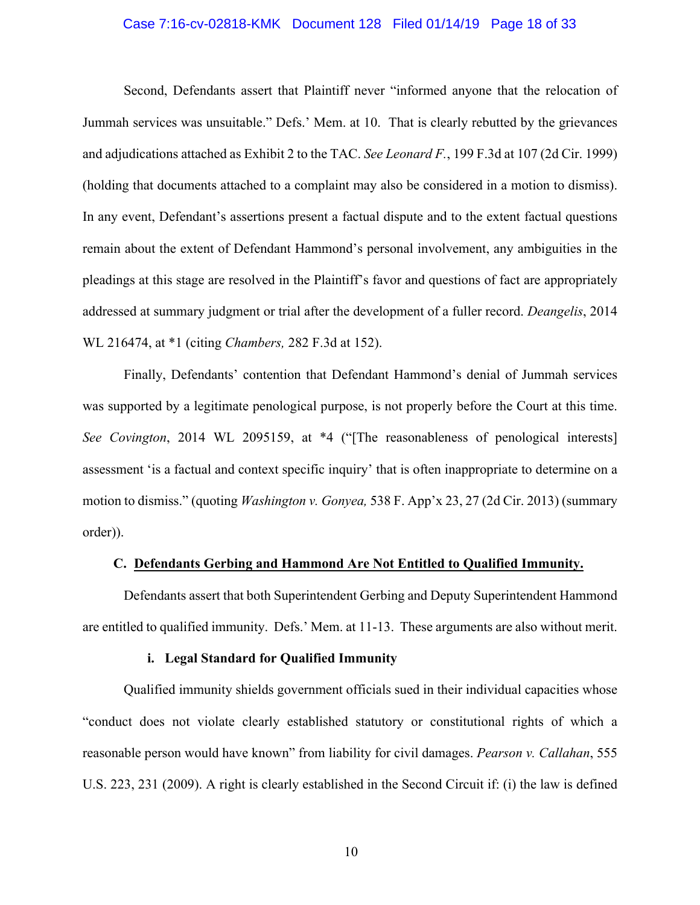#### Case 7:16-cv-02818-KMK Document 128 Filed 01/14/19 Page 18 of 33

Second, Defendants assert that Plaintiff never "informed anyone that the relocation of Jummah services was unsuitable." Defs.' Mem. at 10. That is clearly rebutted by the grievances and adjudications attached as Exhibit 2 to the TAC. *See Leonard F.*, 199 F.3d at 107 (2d Cir. 1999) (holding that documents attached to a complaint may also be considered in a motion to dismiss). In any event, Defendant's assertions present a factual dispute and to the extent factual questions remain about the extent of Defendant Hammond's personal involvement, any ambiguities in the pleadings at this stage are resolved in the Plaintiff's favor and questions of fact are appropriately addressed at summary judgment or trial after the development of a fuller record. *Deangelis*, 2014 WL 216474, at \*1 (citing *Chambers,* 282 F.3d at 152).

Finally, Defendants' contention that Defendant Hammond's denial of Jummah services was supported by a legitimate penological purpose, is not properly before the Court at this time. *See Covington*, 2014 WL 2095159, at \*4 ("[The reasonableness of penological interests] assessment 'is a factual and context specific inquiry' that is often inappropriate to determine on a motion to dismiss." (quoting *Washington v. Gonyea,* 538 F. App'x 23, 27 (2d Cir. 2013) (summary order)).

#### **C. Defendants Gerbing and Hammond Are Not Entitled to Qualified Immunity.**

Defendants assert that both Superintendent Gerbing and Deputy Superintendent Hammond are entitled to qualified immunity. Defs.' Mem. at 11-13. These arguments are also without merit.

#### **i. Legal Standard for Qualified Immunity**

Qualified immunity shields government officials sued in their individual capacities whose "conduct does not violate clearly established statutory or constitutional rights of which a reasonable person would have known" from liability for civil damages. *Pearson v. Callahan*, 555 U.S. 223, 231 (2009). A right is clearly established in the Second Circuit if: (i) the law is defined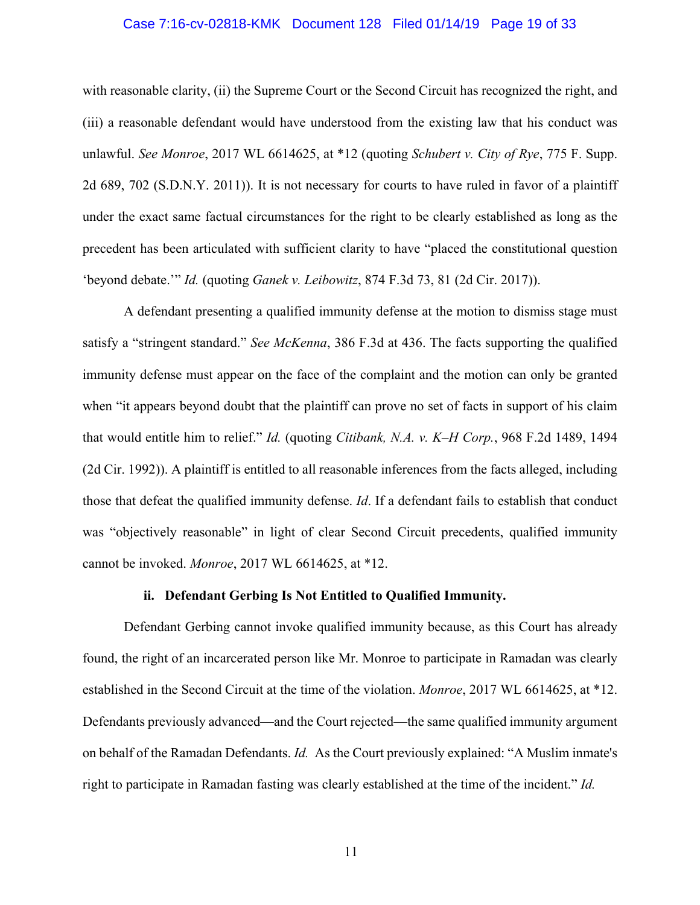#### Case 7:16-cv-02818-KMK Document 128 Filed 01/14/19 Page 19 of 33

with reasonable clarity, (ii) the Supreme Court or the Second Circuit has recognized the right, and (iii) a reasonable defendant would have understood from the existing law that his conduct was unlawful. *See Monroe*, 2017 WL 6614625, at \*12 (quoting *Schubert v. City of Rye*, 775 F. Supp. 2d 689, 702 (S.D.N.Y. 2011)). It is not necessary for courts to have ruled in favor of a plaintiff under the exact same factual circumstances for the right to be clearly established as long as the precedent has been articulated with sufficient clarity to have "placed the constitutional question 'beyond debate.'" *Id.* (quoting *Ganek v. Leibowitz*, 874 F.3d 73, 81 (2d Cir. 2017)).

A defendant presenting a qualified immunity defense at the motion to dismiss stage must satisfy a "stringent standard." *See McKenna*, 386 F.3d at 436. The facts supporting the qualified immunity defense must appear on the face of the complaint and the motion can only be granted when "it appears beyond doubt that the plaintiff can prove no set of facts in support of his claim that would entitle him to relief." *Id.* (quoting *Citibank, N.A. v. K–H Corp.*, 968 F.2d 1489, 1494 (2d Cir. 1992)). A plaintiff is entitled to all reasonable inferences from the facts alleged, including those that defeat the qualified immunity defense. *Id*. If a defendant fails to establish that conduct was "objectively reasonable" in light of clear Second Circuit precedents, qualified immunity cannot be invoked. *Monroe*, 2017 WL 6614625, at \*12.

#### **ii. Defendant Gerbing Is Not Entitled to Qualified Immunity.**

Defendant Gerbing cannot invoke qualified immunity because, as this Court has already found, the right of an incarcerated person like Mr. Monroe to participate in Ramadan was clearly established in the Second Circuit at the time of the violation. *Monroe*, 2017 WL 6614625, at \*12. Defendants previously advanced—and the Court rejected—the same qualified immunity argument on behalf of the Ramadan Defendants. *Id.* As the Court previously explained: "A Muslim inmate's right to participate in Ramadan fasting was clearly established at the time of the incident." *Id.*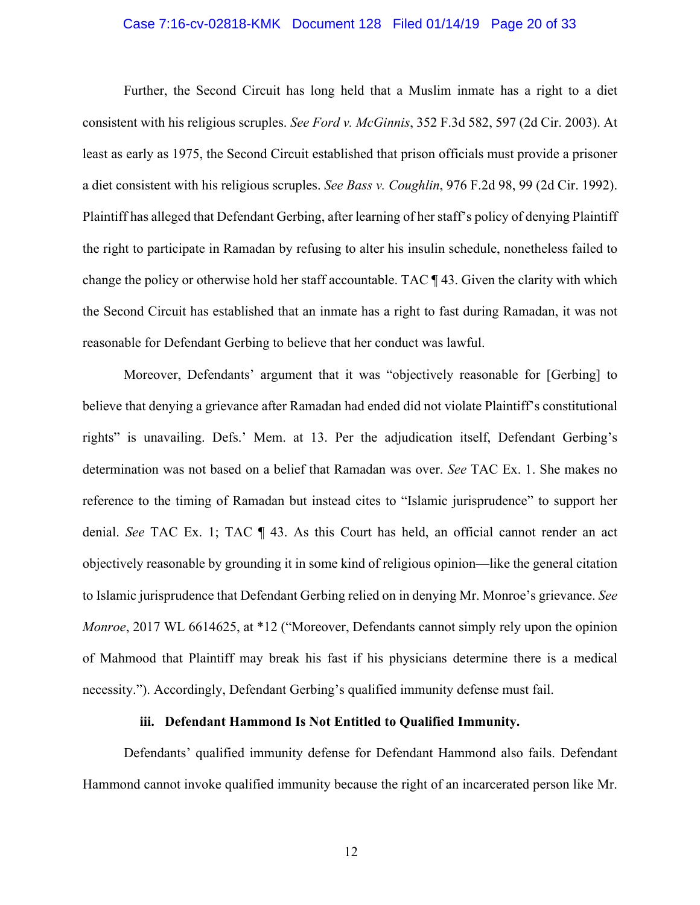#### Case 7:16-cv-02818-KMK Document 128 Filed 01/14/19 Page 20 of 33

Further, the Second Circuit has long held that a Muslim inmate has a right to a diet consistent with his religious scruples. *See Ford v. McGinnis*, 352 F.3d 582, 597 (2d Cir. 2003). At least as early as 1975, the Second Circuit established that prison officials must provide a prisoner a diet consistent with his religious scruples. *See Bass v. Coughlin*, 976 F.2d 98, 99 (2d Cir. 1992). Plaintiff has alleged that Defendant Gerbing, after learning of her staff's policy of denying Plaintiff the right to participate in Ramadan by refusing to alter his insulin schedule, nonetheless failed to change the policy or otherwise hold her staff accountable. TAC ¶ 43. Given the clarity with which the Second Circuit has established that an inmate has a right to fast during Ramadan, it was not reasonable for Defendant Gerbing to believe that her conduct was lawful.

Moreover, Defendants' argument that it was "objectively reasonable for [Gerbing] to believe that denying a grievance after Ramadan had ended did not violate Plaintiff's constitutional rights" is unavailing. Defs.' Mem. at 13. Per the adjudication itself, Defendant Gerbing's determination was not based on a belief that Ramadan was over. *See* TAC Ex. 1. She makes no reference to the timing of Ramadan but instead cites to "Islamic jurisprudence" to support her denial. *See* TAC Ex. 1; TAC ¶ 43. As this Court has held, an official cannot render an act objectively reasonable by grounding it in some kind of religious opinion—like the general citation to Islamic jurisprudence that Defendant Gerbing relied on in denying Mr. Monroe's grievance. *See Monroe*, 2017 WL 6614625, at \*12 ("Moreover, Defendants cannot simply rely upon the opinion of Mahmood that Plaintiff may break his fast if his physicians determine there is a medical necessity."). Accordingly, Defendant Gerbing's qualified immunity defense must fail.

## **iii. Defendant Hammond Is Not Entitled to Qualified Immunity.**

Defendants' qualified immunity defense for Defendant Hammond also fails. Defendant Hammond cannot invoke qualified immunity because the right of an incarcerated person like Mr.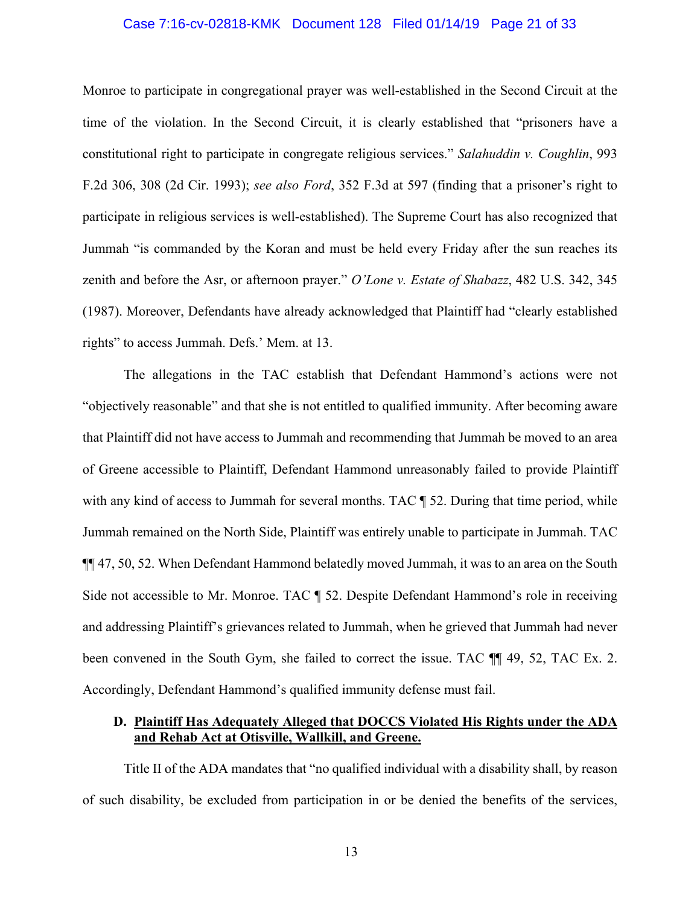#### Case 7:16-cv-02818-KMK Document 128 Filed 01/14/19 Page 21 of 33

Monroe to participate in congregational prayer was well-established in the Second Circuit at the time of the violation. In the Second Circuit, it is clearly established that "prisoners have a constitutional right to participate in congregate religious services." *Salahuddin v. Coughlin*, 993 F.2d 306, 308 (2d Cir. 1993); *see also Ford*, 352 F.3d at 597 (finding that a prisoner's right to participate in religious services is well-established). The Supreme Court has also recognized that Jummah "is commanded by the Koran and must be held every Friday after the sun reaches its zenith and before the Asr, or afternoon prayer." *O'Lone v. Estate of Shabazz*, 482 U.S. 342, 345 (1987). Moreover, Defendants have already acknowledged that Plaintiff had "clearly established rights" to access Jummah. Defs.' Mem. at 13.

The allegations in the TAC establish that Defendant Hammond's actions were not "objectively reasonable" and that she is not entitled to qualified immunity. After becoming aware that Plaintiff did not have access to Jummah and recommending that Jummah be moved to an area of Greene accessible to Plaintiff, Defendant Hammond unreasonably failed to provide Plaintiff with any kind of access to Jummah for several months. TAC  $\P$  52. During that time period, while Jummah remained on the North Side, Plaintiff was entirely unable to participate in Jummah. TAC ¶¶ 47, 50, 52. When Defendant Hammond belatedly moved Jummah, it was to an area on the South Side not accessible to Mr. Monroe. TAC ¶ 52. Despite Defendant Hammond's role in receiving and addressing Plaintiff's grievances related to Jummah, when he grieved that Jummah had never been convened in the South Gym, she failed to correct the issue. TAC  $\P$  49, 52, TAC Ex. 2. Accordingly, Defendant Hammond's qualified immunity defense must fail.

## **D. Plaintiff Has Adequately Alleged that DOCCS Violated His Rights under the ADA and Rehab Act at Otisville, Wallkill, and Greene.**

Title II of the ADA mandates that "no qualified individual with a disability shall, by reason of such disability, be excluded from participation in or be denied the benefits of the services,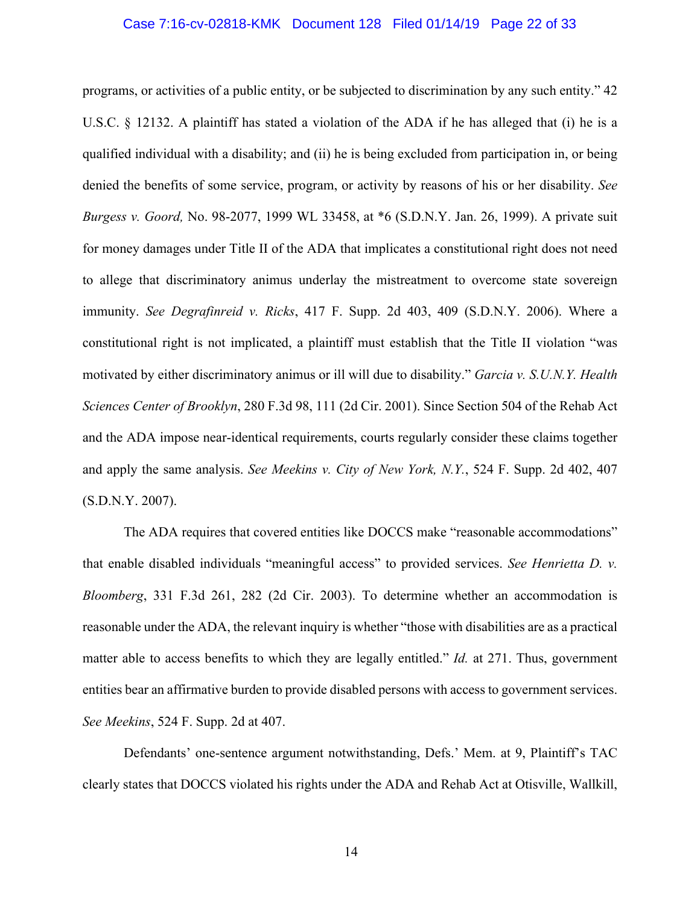#### Case 7:16-cv-02818-KMK Document 128 Filed 01/14/19 Page 22 of 33

programs, or activities of a public entity, or be subjected to discrimination by any such entity." 42 U.S.C. § 12132. A plaintiff has stated a violation of the ADA if he has alleged that (i) he is a qualified individual with a disability; and (ii) he is being excluded from participation in, or being denied the benefits of some service, program, or activity by reasons of his or her disability. *See Burgess v. Goord,* No. 98-2077, 1999 WL 33458, at \*6 (S.D.N.Y. Jan. 26, 1999). A private suit for money damages under Title II of the ADA that implicates a constitutional right does not need to allege that discriminatory animus underlay the mistreatment to overcome state sovereign immunity. *See Degrafinreid v. Ricks*, 417 F. Supp. 2d 403, 409 (S.D.N.Y. 2006). Where a constitutional right is not implicated, a plaintiff must establish that the Title II violation "was motivated by either discriminatory animus or ill will due to disability." *Garcia v. S.U.N.Y. Health Sciences Center of Brooklyn*, 280 F.3d 98, 111 (2d Cir. 2001). Since Section 504 of the Rehab Act and the ADA impose near-identical requirements, courts regularly consider these claims together and apply the same analysis. *See Meekins v. City of New York, N.Y.*, 524 F. Supp. 2d 402, 407 (S.D.N.Y. 2007).

The ADA requires that covered entities like DOCCS make "reasonable accommodations" that enable disabled individuals "meaningful access" to provided services. *See Henrietta D. v. Bloomberg*, 331 F.3d 261, 282 (2d Cir. 2003). To determine whether an accommodation is reasonable under the ADA, the relevant inquiry is whether "those with disabilities are as a practical matter able to access benefits to which they are legally entitled." *Id.* at 271. Thus, government entities bear an affirmative burden to provide disabled persons with access to government services. *See Meekins*, 524 F. Supp. 2d at 407.

Defendants' one-sentence argument notwithstanding, Defs.' Mem. at 9, Plaintiff's TAC clearly states that DOCCS violated his rights under the ADA and Rehab Act at Otisville, Wallkill,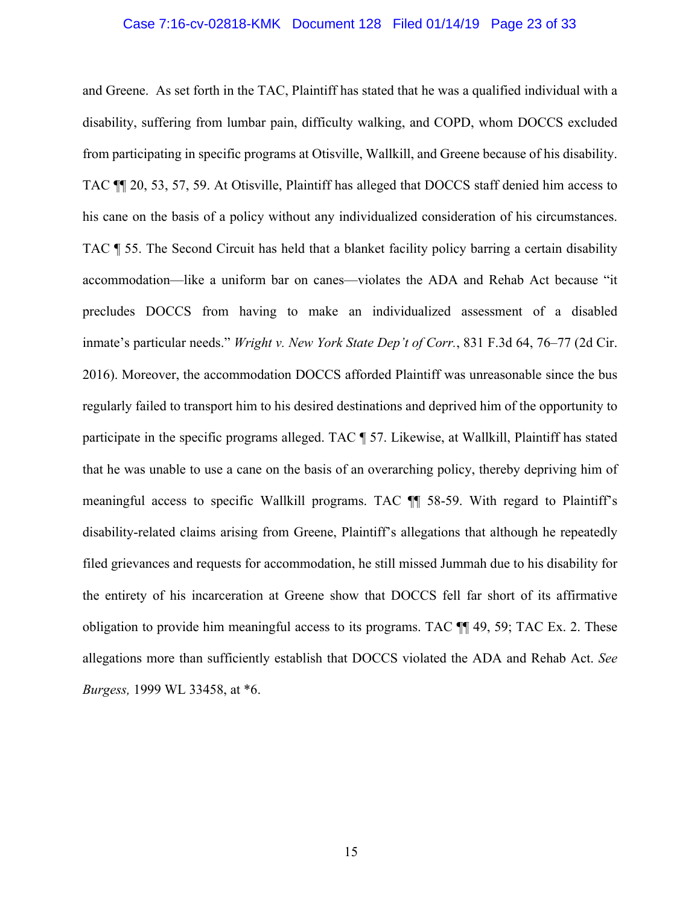#### Case 7:16-cv-02818-KMK Document 128 Filed 01/14/19 Page 23 of 33

and Greene. As set forth in the TAC, Plaintiff has stated that he was a qualified individual with a disability, suffering from lumbar pain, difficulty walking, and COPD, whom DOCCS excluded from participating in specific programs at Otisville, Wallkill, and Greene because of his disability. TAC ¶¶ 20, 53, 57, 59. At Otisville, Plaintiff has alleged that DOCCS staff denied him access to his cane on the basis of a policy without any individualized consideration of his circumstances. TAC ¶ 55. The Second Circuit has held that a blanket facility policy barring a certain disability accommodation—like a uniform bar on canes—violates the ADA and Rehab Act because "it precludes DOCCS from having to make an individualized assessment of a disabled inmate's particular needs." *Wright v. New York State Dep't of Corr.*, 831 F.3d 64, 76–77 (2d Cir. 2016). Moreover, the accommodation DOCCS afforded Plaintiff was unreasonable since the bus regularly failed to transport him to his desired destinations and deprived him of the opportunity to participate in the specific programs alleged. TAC ¶ 57. Likewise, at Wallkill, Plaintiff has stated that he was unable to use a cane on the basis of an overarching policy, thereby depriving him of meaningful access to specific Wallkill programs. TAC ¶¶ 58-59. With regard to Plaintiff's disability-related claims arising from Greene, Plaintiff's allegations that although he repeatedly filed grievances and requests for accommodation, he still missed Jummah due to his disability for the entirety of his incarceration at Greene show that DOCCS fell far short of its affirmative obligation to provide him meaningful access to its programs. TAC  $\P$  49, 59; TAC Ex. 2. These allegations more than sufficiently establish that DOCCS violated the ADA and Rehab Act. *See Burgess,* 1999 WL 33458, at \*6.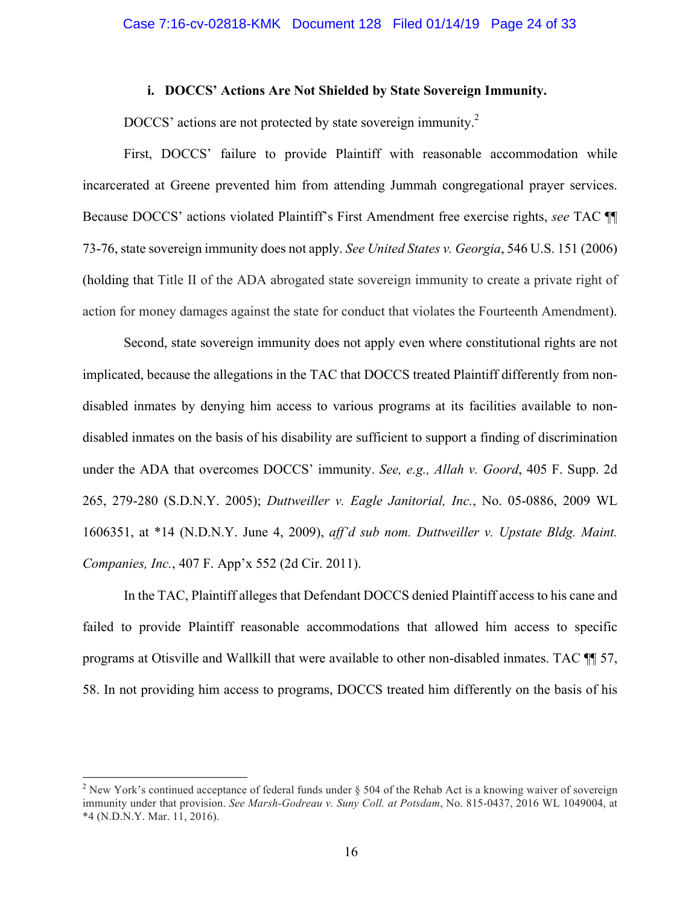#### **i. DOCCS' Actions Are Not Shielded by State Sovereign Immunity.**

DOCCS' actions are not protected by state sovereign immunity.<sup>2</sup>

First, DOCCS' failure to provide Plaintiff with reasonable accommodation while incarcerated at Greene prevented him from attending Jummah congregational prayer services. Because DOCCS' actions violated Plaintiff's First Amendment free exercise rights, *see* TAC ¶¶ 73-76, state sovereign immunity does not apply. *See United States v. Georgia*, 546 U.S. 151 (2006) (holding that Title II of the ADA abrogated state sovereign immunity to create a private right of action for money damages against the state for conduct that violates the Fourteenth Amendment).

Second, state sovereign immunity does not apply even where constitutional rights are not implicated, because the allegations in the TAC that DOCCS treated Plaintiff differently from nondisabled inmates by denying him access to various programs at its facilities available to nondisabled inmates on the basis of his disability are sufficient to support a finding of discrimination under the ADA that overcomes DOCCS' immunity. *See, e.g., Allah v. Goord*, 405 F. Supp. 2d 265, 279-280 (S.D.N.Y. 2005); *Duttweiller v. Eagle Janitorial, Inc.*, No. 05-0886, 2009 WL 1606351, at \*14 (N.D.N.Y. June 4, 2009), *aff'd sub nom. Duttweiller v. Upstate Bldg. Maint. Companies, Inc.*, 407 F. App'x 552 (2d Cir. 2011).

In the TAC, Plaintiff alleges that Defendant DOCCS denied Plaintiff access to his cane and failed to provide Plaintiff reasonable accommodations that allowed him access to specific programs at Otisville and Wallkill that were available to other non-disabled inmates. TAC ¶¶ 57, 58. In not providing him access to programs, DOCCS treated him differently on the basis of his

<sup>&</sup>lt;sup>2</sup> New York's continued acceptance of federal funds under  $\S$  504 of the Rehab Act is a knowing waiver of sovereign immunity under that provision. *See Marsh-Godreau v. Suny Coll. at Potsdam*, No. 815-0437, 2016 WL 1049004, at \*4 (N.D.N.Y. Mar. 11, 2016).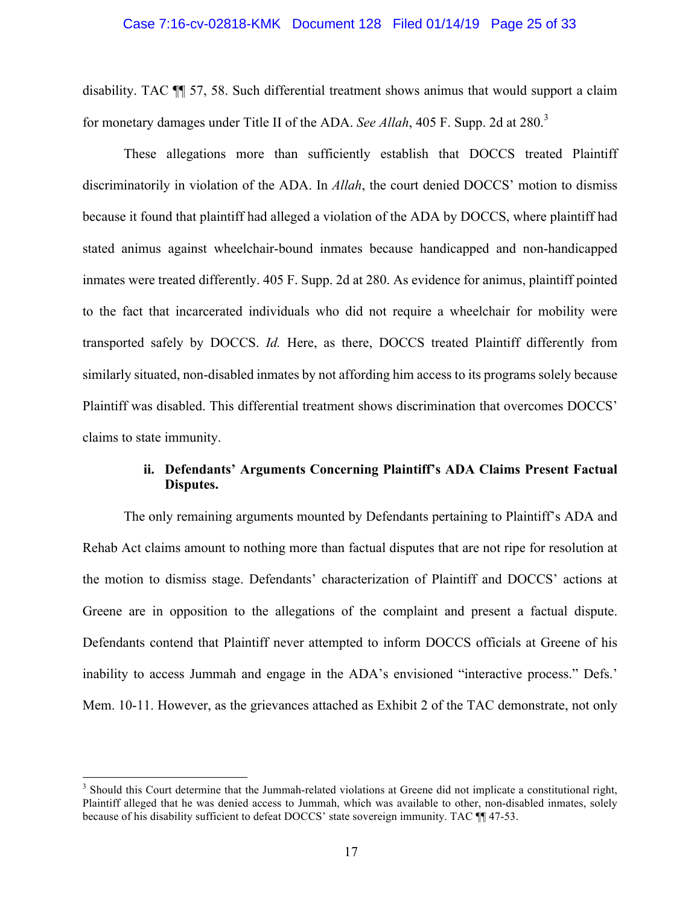#### Case 7:16-cv-02818-KMK Document 128 Filed 01/14/19 Page 25 of 33

disability. TAC ¶¶ 57, 58. Such differential treatment shows animus that would support a claim for monetary damages under Title II of the ADA. *See Allah*, 405 F. Supp. 2d at 280.<sup>3</sup>

These allegations more than sufficiently establish that DOCCS treated Plaintiff discriminatorily in violation of the ADA. In *Allah*, the court denied DOCCS' motion to dismiss because it found that plaintiff had alleged a violation of the ADA by DOCCS, where plaintiff had stated animus against wheelchair-bound inmates because handicapped and non-handicapped inmates were treated differently. 405 F. Supp. 2d at 280. As evidence for animus, plaintiff pointed to the fact that incarcerated individuals who did not require a wheelchair for mobility were transported safely by DOCCS. *Id.* Here, as there, DOCCS treated Plaintiff differently from similarly situated, non-disabled inmates by not affording him access to its programs solely because Plaintiff was disabled. This differential treatment shows discrimination that overcomes DOCCS' claims to state immunity.

## **ii. Defendants' Arguments Concerning Plaintiff's ADA Claims Present Factual Disputes.**

The only remaining arguments mounted by Defendants pertaining to Plaintiff's ADA and Rehab Act claims amount to nothing more than factual disputes that are not ripe for resolution at the motion to dismiss stage. Defendants' characterization of Plaintiff and DOCCS' actions at Greene are in opposition to the allegations of the complaint and present a factual dispute. Defendants contend that Plaintiff never attempted to inform DOCCS officials at Greene of his inability to access Jummah and engage in the ADA's envisioned "interactive process." Defs.' Mem. 10-11. However, as the grievances attached as Exhibit 2 of the TAC demonstrate, not only

<sup>&</sup>lt;sup>3</sup> Should this Court determine that the Jummah-related violations at Greene did not implicate a constitutional right, Plaintiff alleged that he was denied access to Jummah, which was available to other, non-disabled inmates, solely because of his disability sufficient to defeat DOCCS' state sovereign immunity. TAC  $\P$  47-53.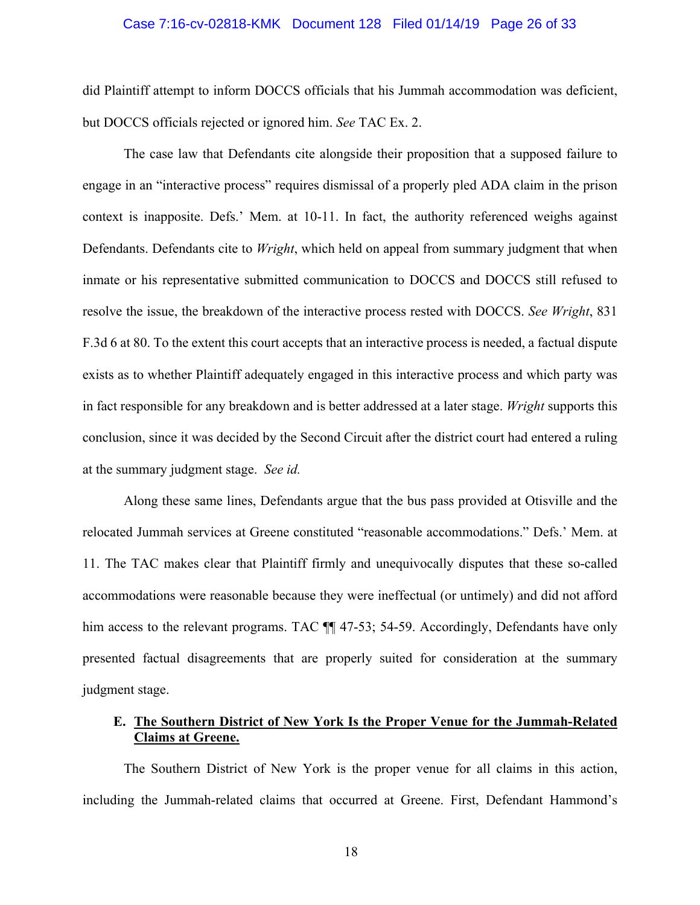#### Case 7:16-cv-02818-KMK Document 128 Filed 01/14/19 Page 26 of 33

did Plaintiff attempt to inform DOCCS officials that his Jummah accommodation was deficient, but DOCCS officials rejected or ignored him. *See* TAC Ex. 2.

The case law that Defendants cite alongside their proposition that a supposed failure to engage in an "interactive process" requires dismissal of a properly pled ADA claim in the prison context is inapposite. Defs.' Mem. at 10-11. In fact, the authority referenced weighs against Defendants. Defendants cite to *Wright*, which held on appeal from summary judgment that when inmate or his representative submitted communication to DOCCS and DOCCS still refused to resolve the issue, the breakdown of the interactive process rested with DOCCS. *See Wright*, 831 F.3d 6 at 80. To the extent this court accepts that an interactive process is needed, a factual dispute exists as to whether Plaintiff adequately engaged in this interactive process and which party was in fact responsible for any breakdown and is better addressed at a later stage. *Wright* supports this conclusion, since it was decided by the Second Circuit after the district court had entered a ruling at the summary judgment stage. *See id.*

Along these same lines, Defendants argue that the bus pass provided at Otisville and the relocated Jummah services at Greene constituted "reasonable accommodations." Defs.' Mem. at 11. The TAC makes clear that Plaintiff firmly and unequivocally disputes that these so-called accommodations were reasonable because they were ineffectual (or untimely) and did not afford him access to the relevant programs. TAC  $\P$  47-53; 54-59. Accordingly, Defendants have only presented factual disagreements that are properly suited for consideration at the summary judgment stage.

# **E. The Southern District of New York Is the Proper Venue for the Jummah-Related Claims at Greene.**

The Southern District of New York is the proper venue for all claims in this action, including the Jummah-related claims that occurred at Greene. First, Defendant Hammond's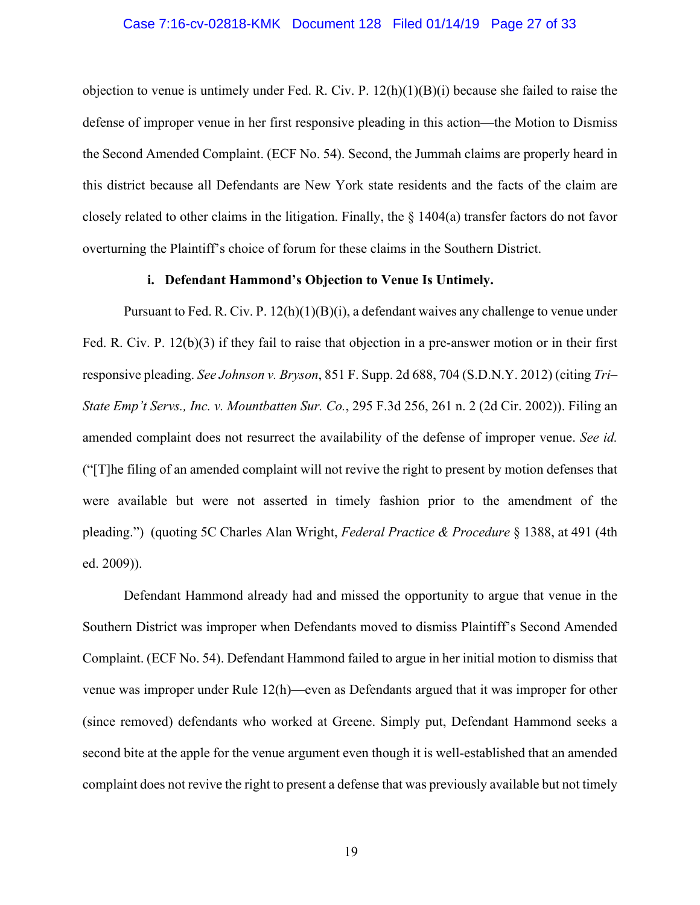#### Case 7:16-cv-02818-KMK Document 128 Filed 01/14/19 Page 27 of 33

objection to venue is untimely under Fed. R. Civ. P. 12(h)(1)(B)(i) because she failed to raise the defense of improper venue in her first responsive pleading in this action—the Motion to Dismiss the Second Amended Complaint. (ECF No. 54). Second, the Jummah claims are properly heard in this district because all Defendants are New York state residents and the facts of the claim are closely related to other claims in the litigation. Finally, the § 1404(a) transfer factors do not favor overturning the Plaintiff's choice of forum for these claims in the Southern District.

#### **i. Defendant Hammond's Objection to Venue Is Untimely.**

Pursuant to Fed. R. Civ. P.  $12(h)(1)(B)(i)$ , a defendant waives any challenge to venue under Fed. R. Civ. P. 12(b)(3) if they fail to raise that objection in a pre-answer motion or in their first responsive pleading. *See Johnson v. Bryson*, 851 F. Supp. 2d 688, 704 (S.D.N.Y. 2012) (citing *Tri– State Emp't Servs., Inc. v. Mountbatten Sur. Co.*, 295 F.3d 256, 261 n. 2 (2d Cir. 2002)). Filing an amended complaint does not resurrect the availability of the defense of improper venue. *See id.* ("[T]he filing of an amended complaint will not revive the right to present by motion defenses that were available but were not asserted in timely fashion prior to the amendment of the pleading.") (quoting 5C Charles Alan Wright, *Federal Practice & Procedure* § 1388, at 491 (4th ed. 2009)).

Defendant Hammond already had and missed the opportunity to argue that venue in the Southern District was improper when Defendants moved to dismiss Plaintiff's Second Amended Complaint. (ECF No. 54). Defendant Hammond failed to argue in her initial motion to dismiss that venue was improper under Rule 12(h)—even as Defendants argued that it was improper for other (since removed) defendants who worked at Greene. Simply put, Defendant Hammond seeks a second bite at the apple for the venue argument even though it is well-established that an amended complaint does not revive the right to present a defense that was previously available but not timely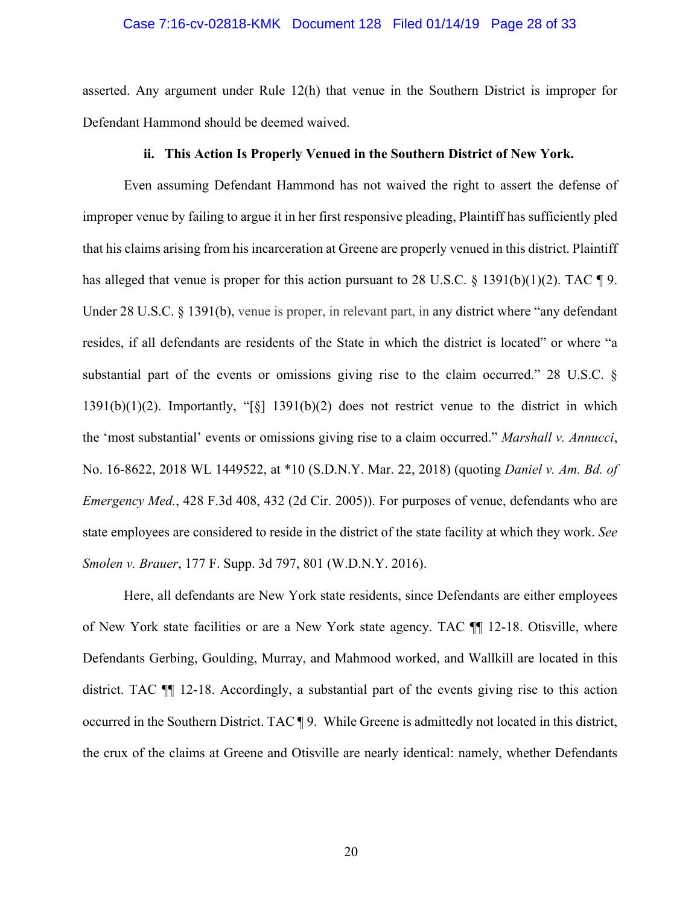#### Case 7:16-cv-02818-KMK Document 128 Filed 01/14/19 Page 28 of 33

asserted. Any argument under Rule 12(h) that venue in the Southern District is improper for Defendant Hammond should be deemed waived.

# **ii. This Action Is Properly Venued in the Southern District of New York.**

Even assuming Defendant Hammond has not waived the right to assert the defense of improper venue by failing to argue it in her first responsive pleading, Plaintiff has sufficiently pled that his claims arising from his incarceration at Greene are properly venued in this district. Plaintiff has alleged that venue is proper for this action pursuant to 28 U.S.C.  $\S$  1391(b)(1)(2). TAC  $\P$ 9. Under 28 U.S.C. § 1391(b), venue is proper, in relevant part, in any district where "any defendant" resides, if all defendants are residents of the State in which the district is located" or where "a substantial part of the events or omissions giving rise to the claim occurred." 28 U.S.C. §  $1391(b)(1)(2)$ . Importantly, "[§]  $1391(b)(2)$  does not restrict venue to the district in which the 'most substantial' events or omissions giving rise to a claim occurred." *Marshall v. Annucci*, No. 16-8622, 2018 WL 1449522, at \*10 (S.D.N.Y. Mar. 22, 2018) (quoting *Daniel v. Am. Bd. of Emergency Med.*, 428 F.3d 408, 432 (2d Cir. 2005)). For purposes of venue, defendants who are state employees are considered to reside in the district of the state facility at which they work. *See Smolen v. Brauer*, 177 F. Supp. 3d 797, 801 (W.D.N.Y. 2016).

Here, all defendants are New York state residents, since Defendants are either employees of New York state facilities or are a New York state agency. TAC ¶¶ 12-18. Otisville, where Defendants Gerbing, Goulding, Murray, and Mahmood worked, and Wallkill are located in this district. TAC ¶¶ 12-18. Accordingly, a substantial part of the events giving rise to this action occurred in the Southern District. TAC ¶ 9. While Greene is admittedly not located in this district, the crux of the claims at Greene and Otisville are nearly identical: namely, whether Defendants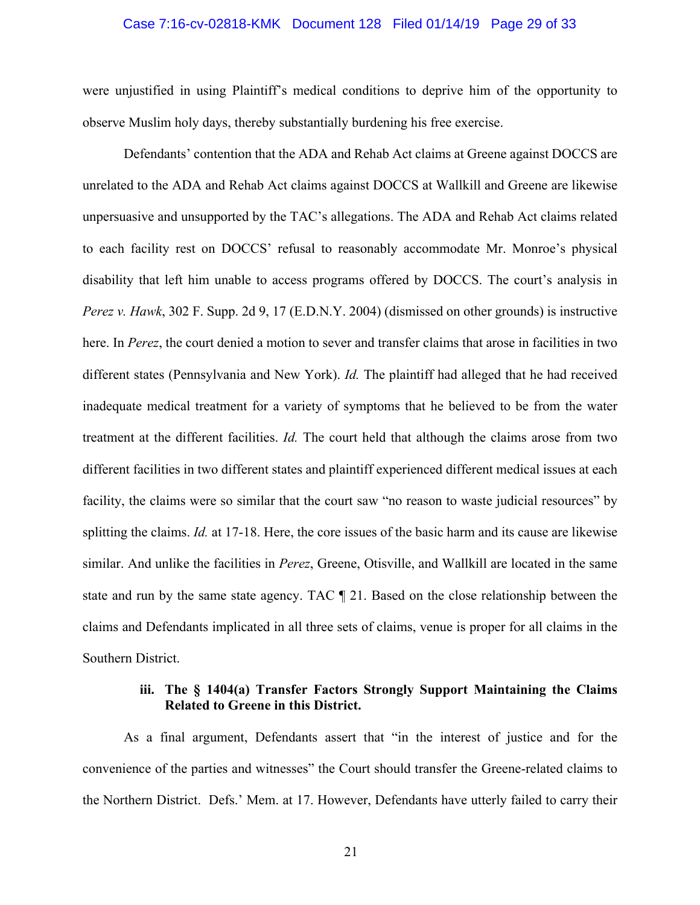#### Case 7:16-cv-02818-KMK Document 128 Filed 01/14/19 Page 29 of 33

were unjustified in using Plaintiff's medical conditions to deprive him of the opportunity to observe Muslim holy days, thereby substantially burdening his free exercise.

Defendants' contention that the ADA and Rehab Act claims at Greene against DOCCS are unrelated to the ADA and Rehab Act claims against DOCCS at Wallkill and Greene are likewise unpersuasive and unsupported by the TAC's allegations. The ADA and Rehab Act claims related to each facility rest on DOCCS' refusal to reasonably accommodate Mr. Monroe's physical disability that left him unable to access programs offered by DOCCS. The court's analysis in *Perez v. Hawk*, 302 F. Supp. 2d 9, 17 (E.D.N.Y. 2004) (dismissed on other grounds) is instructive here. In *Perez*, the court denied a motion to sever and transfer claims that arose in facilities in two different states (Pennsylvania and New York). *Id.* The plaintiff had alleged that he had received inadequate medical treatment for a variety of symptoms that he believed to be from the water treatment at the different facilities. *Id.* The court held that although the claims arose from two different facilities in two different states and plaintiff experienced different medical issues at each facility, the claims were so similar that the court saw "no reason to waste judicial resources" by splitting the claims. *Id.* at 17-18. Here, the core issues of the basic harm and its cause are likewise similar. And unlike the facilities in *Perez*, Greene, Otisville, and Wallkill are located in the same state and run by the same state agency. TAC ¶ 21. Based on the close relationship between the claims and Defendants implicated in all three sets of claims, venue is proper for all claims in the Southern District.

# **iii. The § 1404(a) Transfer Factors Strongly Support Maintaining the Claims Related to Greene in this District.**

As a final argument, Defendants assert that "in the interest of justice and for the convenience of the parties and witnesses" the Court should transfer the Greene-related claims to the Northern District. Defs.' Mem. at 17. However, Defendants have utterly failed to carry their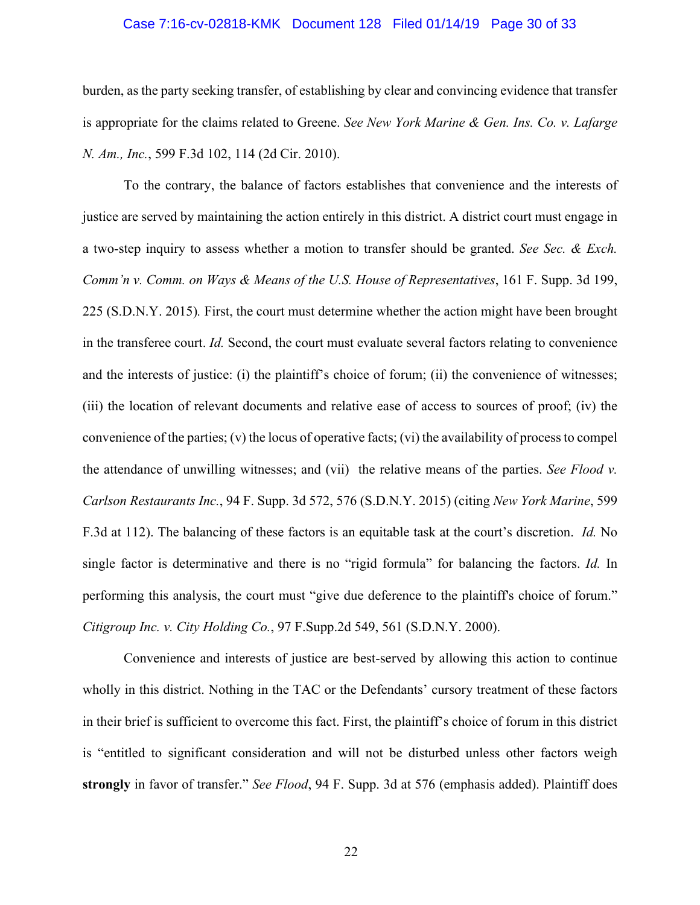#### Case 7:16-cv-02818-KMK Document 128 Filed 01/14/19 Page 30 of 33

burden, as the party seeking transfer, of establishing by clear and convincing evidence that transfer is appropriate for the claims related to Greene. *See New York Marine & Gen. Ins. Co. v. Lafarge N. Am., Inc.*, 599 F.3d 102, 114 (2d Cir. 2010).

To the contrary, the balance of factors establishes that convenience and the interests of justice are served by maintaining the action entirely in this district. A district court must engage in a two-step inquiry to assess whether a motion to transfer should be granted. *See Sec. & Exch. Comm'n v. Comm. on Ways & Means of the U.S. House of Representatives*, 161 F. Supp. 3d 199, 225 (S.D.N.Y. 2015)*.* First, the court must determine whether the action might have been brought in the transferee court. *Id.* Second, the court must evaluate several factors relating to convenience and the interests of justice: (i) the plaintiff's choice of forum; (ii) the convenience of witnesses; (iii) the location of relevant documents and relative ease of access to sources of proof; (iv) the convenience of the parties; (v) the locus of operative facts; (vi) the availability of process to compel the attendance of unwilling witnesses; and (vii) the relative means of the parties. *See Flood v. Carlson Restaurants Inc.*, 94 F. Supp. 3d 572, 576 (S.D.N.Y. 2015) (citing *New York Marine*, 599 F.3d at 112). The balancing of these factors is an equitable task at the court's discretion. *Id.* No single factor is determinative and there is no "rigid formula" for balancing the factors. *Id.* In performing this analysis, the court must "give due deference to the plaintiff's choice of forum." *Citigroup Inc. v. City Holding Co.*, 97 F.Supp.2d 549, 561 (S.D.N.Y. 2000).

Convenience and interests of justice are best-served by allowing this action to continue wholly in this district. Nothing in the TAC or the Defendants' cursory treatment of these factors in their brief is sufficient to overcome this fact. First, the plaintiff's choice of forum in this district is "entitled to significant consideration and will not be disturbed unless other factors weigh **strongly** in favor of transfer." *See Flood*, 94 F. Supp. 3d at 576 (emphasis added). Plaintiff does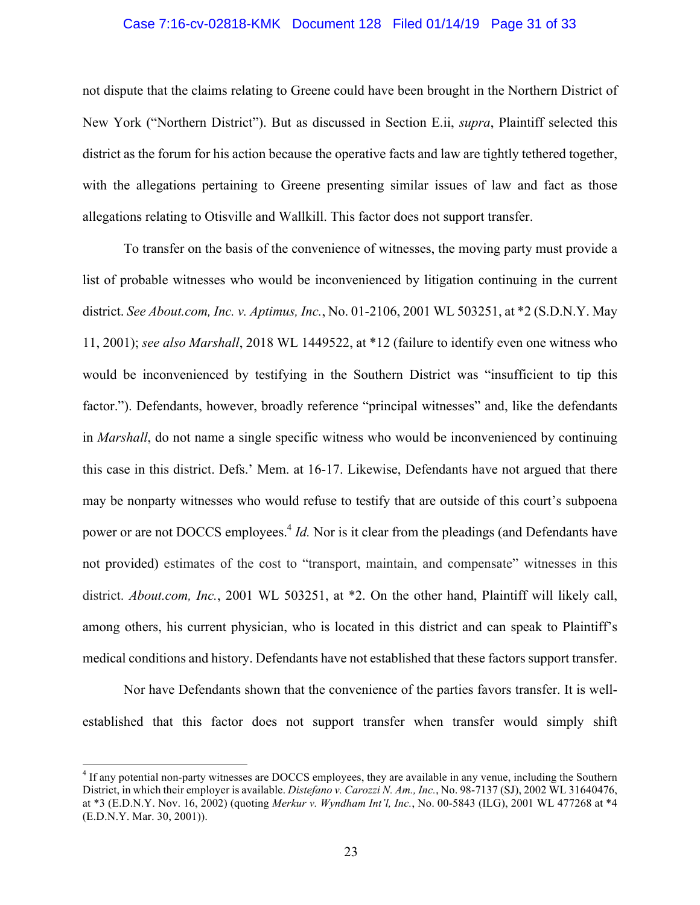#### Case 7:16-cv-02818-KMK Document 128 Filed 01/14/19 Page 31 of 33

not dispute that the claims relating to Greene could have been brought in the Northern District of New York ("Northern District"). But as discussed in Section E.ii, *supra*, Plaintiff selected this district as the forum for his action because the operative facts and law are tightly tethered together, with the allegations pertaining to Greene presenting similar issues of law and fact as those allegations relating to Otisville and Wallkill. This factor does not support transfer.

To transfer on the basis of the convenience of witnesses, the moving party must provide a list of probable witnesses who would be inconvenienced by litigation continuing in the current district. *See About.com, Inc. v. Aptimus, Inc.*, No. 01-2106, 2001 WL 503251, at \*2 (S.D.N.Y. May 11, 2001); *see also Marshall*, 2018 WL 1449522, at \*12 (failure to identify even one witness who would be inconvenienced by testifying in the Southern District was "insufficient to tip this factor."). Defendants, however, broadly reference "principal witnesses" and, like the defendants in *Marshall*, do not name a single specific witness who would be inconvenienced by continuing this case in this district. Defs.' Mem. at 16-17. Likewise, Defendants have not argued that there may be nonparty witnesses who would refuse to testify that are outside of this court's subpoena power or are not DOCCS employees. <sup>4</sup> *Id.* Nor is it clear from the pleadings (and Defendants have not provided) estimates of the cost to "transport, maintain, and compensate" witnesses in this district. *About.com, Inc.*, 2001 WL 503251, at \*2. On the other hand, Plaintiff will likely call, among others, his current physician, who is located in this district and can speak to Plaintiff's medical conditions and history. Defendants have not established that these factors support transfer.

Nor have Defendants shown that the convenience of the parties favors transfer. It is wellestablished that this factor does not support transfer when transfer would simply shift

 <sup>4</sup> If any potential non-party witnesses are DOCCS employees, they are available in any venue, including the Southern District, in which their employer is available. *Distefano v. Carozzi N. Am., Inc.*, No. 98-7137 (SJ), 2002 WL 31640476, at \*3 (E.D.N.Y. Nov. 16, 2002) (quoting *Merkur v. Wyndham Int'l, Inc.*, No. 00-5843 (ILG), 2001 WL 477268 at \*4 (E.D.N.Y. Mar. 30, 2001)).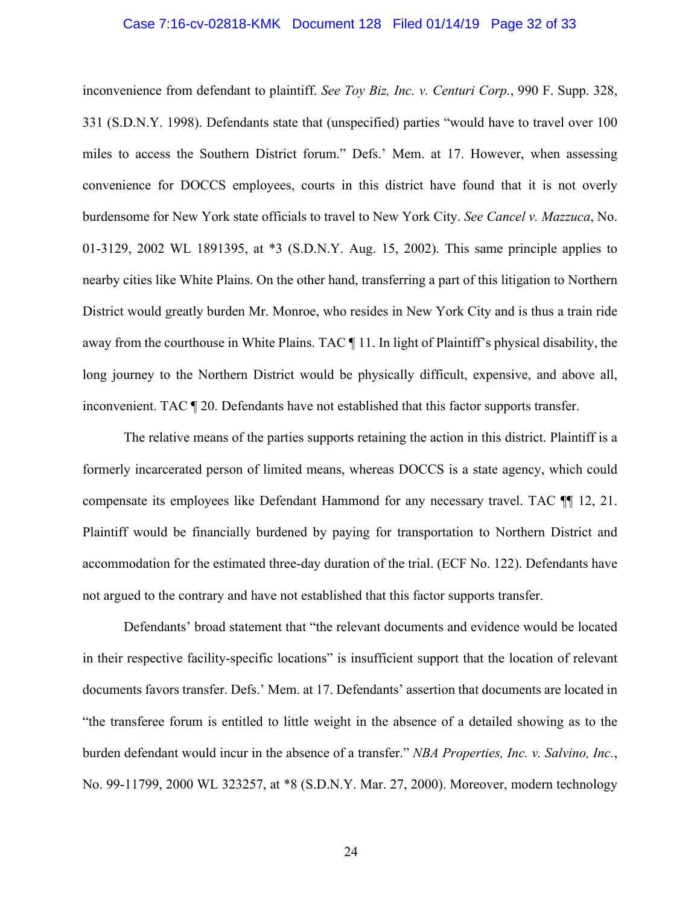#### Case 7:16-cv-02818-KMK Document 128 Filed 01/14/19 Page 32 of 33

inconvenience from defendant to plaintiff. *See Toy Biz, Inc. v. Centuri Corp.*, 990 F. Supp. 328, 331 (S.D.N.Y. 1998). Defendants state that (unspecified) parties "would have to travel over 100 miles to access the Southern District forum." Defs.' Mem. at 17. However, when assessing convenience for DOCCS employees, courts in this district have found that it is not overly burdensome for New York state officials to travel to New York City. *See Cancel v. Mazzuca*, No. 01-3129, 2002 WL 1891395, at \*3 (S.D.N.Y. Aug. 15, 2002). This same principle applies to nearby cities like White Plains. On the other hand, transferring a part of this litigation to Northern District would greatly burden Mr. Monroe, who resides in New York City and is thus a train ride away from the courthouse in White Plains. TAC ¶ 11. In light of Plaintiff's physical disability, the long journey to the Northern District would be physically difficult, expensive, and above all, inconvenient. TAC ¶ 20. Defendants have not established that this factor supports transfer.

The relative means of the parties supports retaining the action in this district. Plaintiff is a formerly incarcerated person of limited means, whereas DOCCS is a state agency, which could compensate its employees like Defendant Hammond for any necessary travel. TAC ¶¶ 12, 21. Plaintiff would be financially burdened by paying for transportation to Northern District and accommodation for the estimated three-day duration of the trial. (ECF No. 122). Defendants have not argued to the contrary and have not established that this factor supports transfer.

Defendants' broad statement that "the relevant documents and evidence would be located in their respective facility-specific locations" is insufficient support that the location of relevant documents favors transfer. Defs.' Mem. at 17. Defendants' assertion that documents are located in "the transferee forum is entitled to little weight in the absence of a detailed showing as to the burden defendant would incur in the absence of a transfer." *NBA Properties, Inc. v. Salvino, Inc.*, No. 99-11799, 2000 WL 323257, at \*8 (S.D.N.Y. Mar. 27, 2000). Moreover, modern technology

24